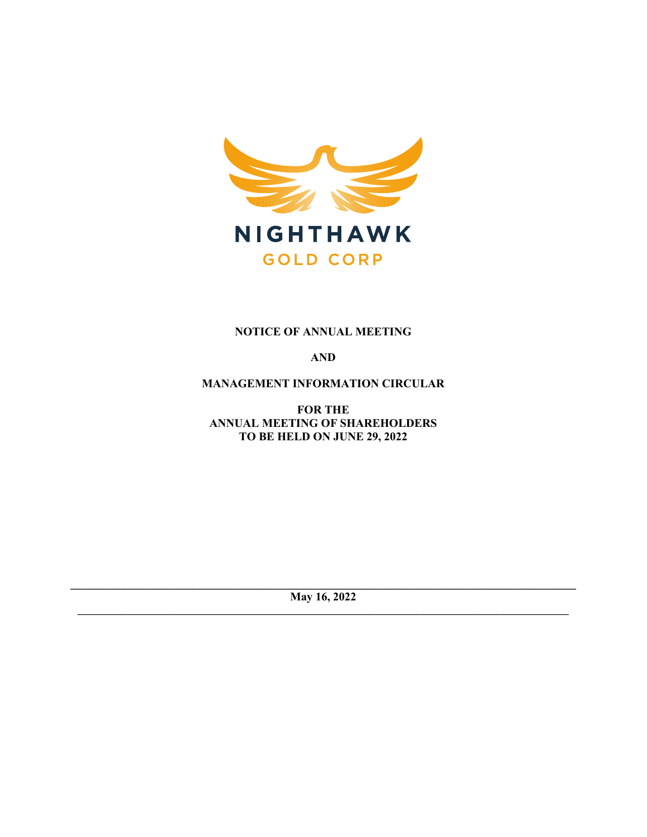

# **NOTICE OF ANNUAL MEETING**

**AND**

**MANAGEMENT INFORMATION CIRCULAR**

**FOR THE ANNUAL MEETING OF SHAREHOLDERS TO BE HELD ON JUNE 29, 2022** 

**\_\_\_\_\_\_\_\_\_\_\_\_\_\_\_\_\_\_\_\_\_\_\_\_\_\_\_\_\_\_\_\_\_\_\_\_\_\_\_\_\_\_\_\_\_\_\_\_\_\_\_\_\_\_\_\_\_\_\_\_\_\_\_\_\_\_\_\_\_\_\_\_\_\_\_\_\_\_\_\_\_\_\_\_\_\_\_ May 16, 2022 \_\_\_\_\_\_\_\_\_\_\_\_\_\_\_\_\_\_\_\_\_\_\_\_\_\_\_\_\_\_\_\_\_\_\_\_\_\_\_\_\_\_\_\_\_\_\_\_\_\_\_\_\_\_\_\_\_\_\_\_\_\_\_\_\_\_\_\_\_\_\_\_\_\_\_\_\_\_\_\_\_\_\_\_\_\_\_\_\_\_\_\_\_**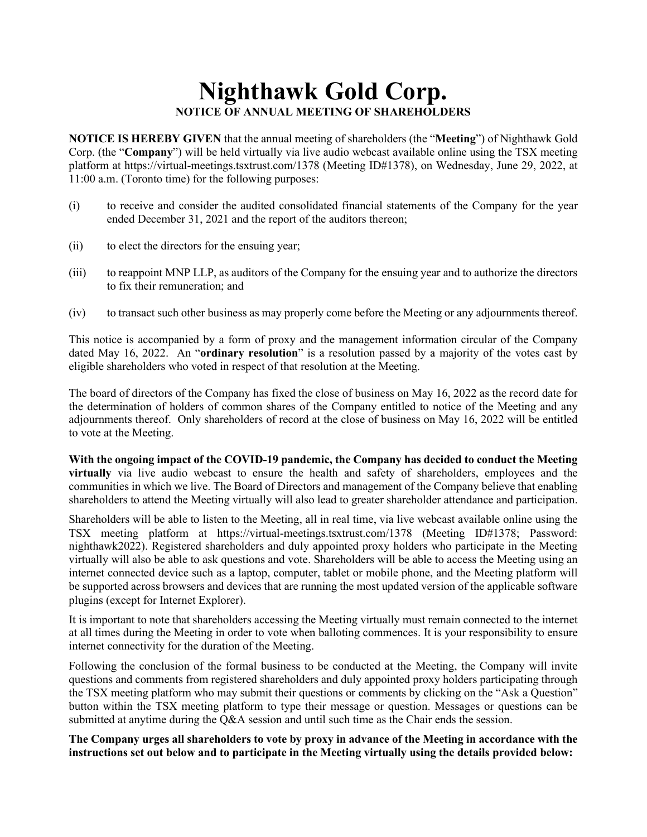# **Nighthawk Gold Corp. NOTICE OF ANNUAL MEETING OF SHAREHOLDERS**

**NOTICE IS HEREBY GIVEN** that the annual meeting of shareholders (the "**Meeting**") of Nighthawk Gold Corp. (the "**Company**") will be held virtually via live audio webcast available online using the TSX meeting platform at https://virtual-meetings.tsxtrust.com/1378 (Meeting ID#1378), on Wednesday, June 29, 2022, at 11:00 a.m. (Toronto time) for the following purposes:

- (i) to receive and consider the audited consolidated financial statements of the Company for the year ended December 31, 2021 and the report of the auditors thereon;
- (ii) to elect the directors for the ensuing year;
- (iii) to reappoint MNP LLP, as auditors of the Company for the ensuing year and to authorize the directors to fix their remuneration; and
- (iv) to transact such other business as may properly come before the Meeting or any adjournments thereof.

This notice is accompanied by a form of proxy and the management information circular of the Company dated May 16, 2022. An "**ordinary resolution**" is a resolution passed by a majority of the votes cast by eligible shareholders who voted in respect of that resolution at the Meeting.

The board of directors of the Company has fixed the close of business on May 16, 2022 as the record date for the determination of holders of common shares of the Company entitled to notice of the Meeting and any adjournments thereof. Only shareholders of record at the close of business on May 16, 2022 will be entitled to vote at the Meeting.

**With the ongoing impact of the COVID-19 pandemic, the Company has decided to conduct the Meeting virtually** via live audio webcast to ensure the health and safety of shareholders, employees and the communities in which we live. The Board of Directors and management of the Company believe that enabling shareholders to attend the Meeting virtually will also lead to greater shareholder attendance and participation.

Shareholders will be able to listen to the Meeting, all in real time, via live webcast available online using the TSX meeting platform at https://virtual-meetings.tsxtrust.com/1378 (Meeting ID#1378; Password: nighthawk2022). Registered shareholders and duly appointed proxy holders who participate in the Meeting virtually will also be able to ask questions and vote. Shareholders will be able to access the Meeting using an internet connected device such as a laptop, computer, tablet or mobile phone, and the Meeting platform will be supported across browsers and devices that are running the most updated version of the applicable software plugins (except for Internet Explorer).

It is important to note that shareholders accessing the Meeting virtually must remain connected to the internet at all times during the Meeting in order to vote when balloting commences. It is your responsibility to ensure internet connectivity for the duration of the Meeting.

Following the conclusion of the formal business to be conducted at the Meeting, the Company will invite questions and comments from registered shareholders and duly appointed proxy holders participating through the TSX meeting platform who may submit their questions or comments by clicking on the "Ask a Question" button within the TSX meeting platform to type their message or question. Messages or questions can be submitted at anytime during the Q&A session and until such time as the Chair ends the session.

**The Company urges all shareholders to vote by proxy in advance of the Meeting in accordance with the instructions set out below and to participate in the Meeting virtually using the details provided below:**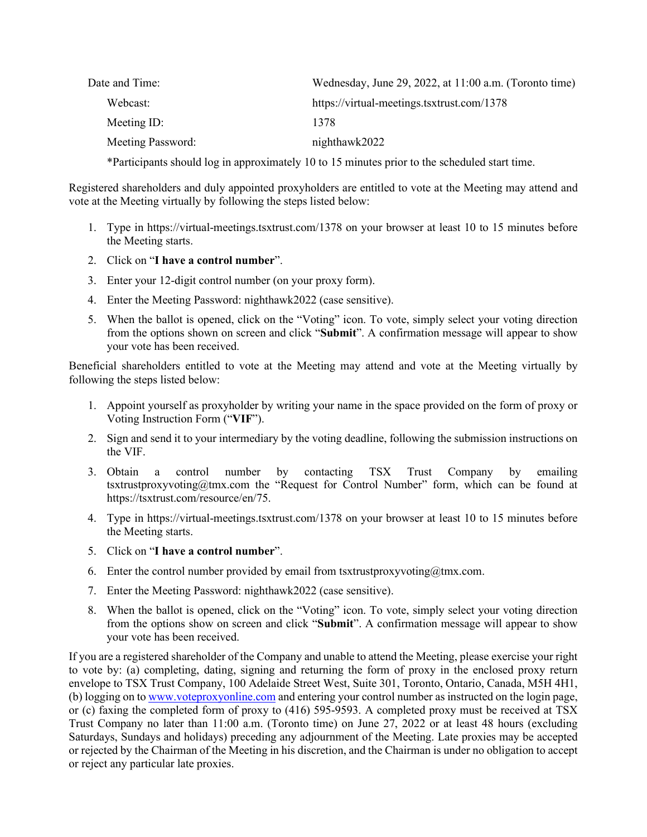| Date and Time:    | Wednesday, June 29, 2022, at 11:00 a.m. (Toronto time) |
|-------------------|--------------------------------------------------------|
| Webcast:          | https://virtual-meetings.tsxtrust.com/1378             |
| Meeting ID:       | 1378                                                   |
| Meeting Password: | nighthawk2022                                          |

\*Participants should log in approximately 10 to 15 minutes prior to the scheduled start time.

Registered shareholders and duly appointed proxyholders are entitled to vote at the Meeting may attend and vote at the Meeting virtually by following the steps listed below:

- 1. Type in https://virtual-meetings.tsxtrust.com/1378 on your browser at least 10 to 15 minutes before the Meeting starts.
- 2. Click on "**I have a control number**".
- 3. Enter your 12-digit control number (on your proxy form).
- 4. Enter the Meeting Password: nighthawk2022 (case sensitive).
- 5. When the ballot is opened, click on the "Voting" icon. To vote, simply select your voting direction from the options shown on screen and click "**Submit**". A confirmation message will appear to show your vote has been received.

Beneficial shareholders entitled to vote at the Meeting may attend and vote at the Meeting virtually by following the steps listed below:

- 1. Appoint yourself as proxyholder by writing your name in the space provided on the form of proxy or Voting Instruction Form ("**VIF**").
- 2. Sign and send it to your intermediary by the voting deadline, following the submission instructions on the VIF.
- 3. Obtain a control number by contacting TSX Trust Company by emailing tsxtrustproxyvoting@tmx.com the "Request for Control Number" form, which can be found at https://tsxtrust.com/resource/en/75.
- 4. Type in https://virtual-meetings.tsxtrust.com/1378 on your browser at least 10 to 15 minutes before the Meeting starts.
- 5. Click on "**I have a control number**".
- 6. Enter the control number provided by email from tsxtrustproxyvoting $@tmx.com$ .
- 7. Enter the Meeting Password: nighthawk2022 (case sensitive).
- 8. When the ballot is opened, click on the "Voting" icon. To vote, simply select your voting direction from the options show on screen and click "**Submit**". A confirmation message will appear to show your vote has been received.

If you are a registered shareholder of the Company and unable to attend the Meeting, please exercise your right to vote by: (a) completing, dating, signing and returning the form of proxy in the enclosed proxy return envelope to TSX Trust Company, 100 Adelaide Street West, Suite 301, Toronto, Ontario, Canada, M5H 4H1, (b) logging on t[o www.voteproxyonline.com](http://www.voteproxyonline.com/) and entering your control number as instructed on the login page, or (c) faxing the completed form of proxy to (416) 595-9593. A completed proxy must be received at TSX Trust Company no later than 11:00 a.m. (Toronto time) on June 27, 2022 or at least 48 hours (excluding Saturdays, Sundays and holidays) preceding any adjournment of the Meeting. Late proxies may be accepted or rejected by the Chairman of the Meeting in his discretion, and the Chairman is under no obligation to accept or reject any particular late proxies.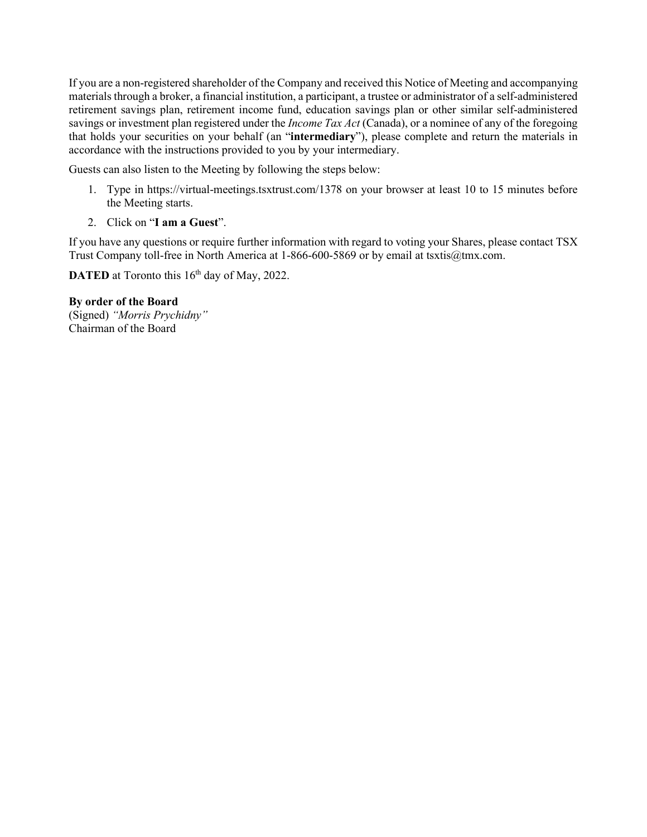If you are a non-registered shareholder of the Company and received this Notice of Meeting and accompanying materials through a broker, a financial institution, a participant, a trustee or administrator of a self-administered retirement savings plan, retirement income fund, education savings plan or other similar self-administered savings or investment plan registered under the *Income Tax Act* (Canada), or a nominee of any of the foregoing that holds your securities on your behalf (an "**intermediary**"), please complete and return the materials in accordance with the instructions provided to you by your intermediary.

Guests can also listen to the Meeting by following the steps below:

- 1. Type in https://virtual-meetings.tsxtrust.com/1378 on your browser at least 10 to 15 minutes before the Meeting starts.
- 2. Click on "**I am a Guest**".

If you have any questions or require further information with regard to voting your Shares, please contact TSX Trust Company toll-free in North America at 1-866-600-5869 or by email at tsxtis@tmx.com.

**DATED** at Toronto this 16<sup>th</sup> day of May, 2022.

**By order of the Board**  (Signed) *"Morris Prychidny"*  Chairman of the Board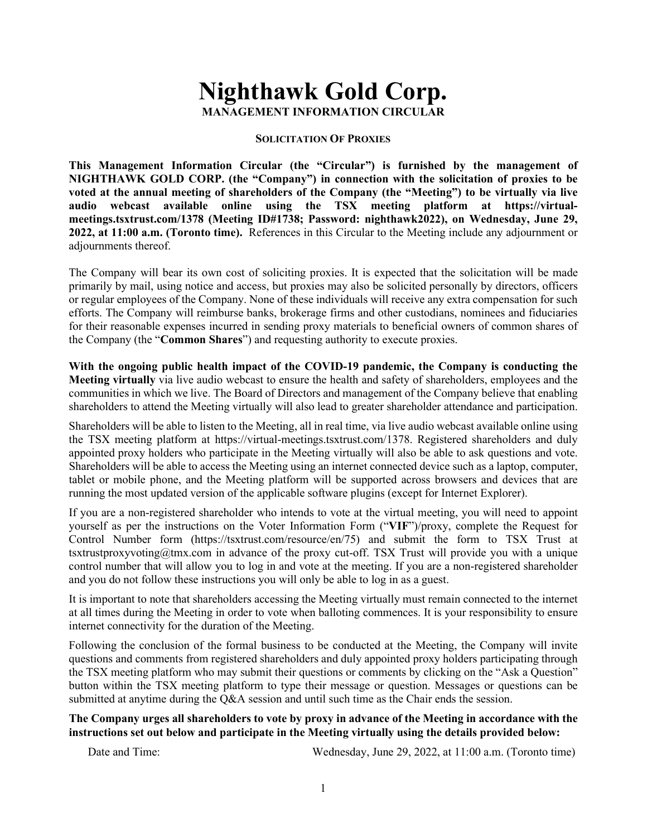# **Nighthawk Gold Corp. MANAGEMENT INFORMATION CIRCULAR**

#### **SOLICITATION OF PROXIES**

**This Management Information Circular (the "Circular") is furnished by the management of NIGHTHAWK GOLD CORP. (the "Company") in connection with the solicitation of proxies to be voted at the annual meeting of shareholders of the Company (the "Meeting") to be virtually via live audio webcast available online using the TSX meeting platform at https://virtualmeetings.tsxtrust.com/1378 (Meeting ID#1738; Password: nighthawk2022), on Wednesday, June 29, 2022, at 11:00 a.m. (Toronto time).** References in this Circular to the Meeting include any adjournment or adjournments thereof.

The Company will bear its own cost of soliciting proxies. It is expected that the solicitation will be made primarily by mail, using notice and access, but proxies may also be solicited personally by directors, officers or regular employees of the Company. None of these individuals will receive any extra compensation for such efforts. The Company will reimburse banks, brokerage firms and other custodians, nominees and fiduciaries for their reasonable expenses incurred in sending proxy materials to beneficial owners of common shares of the Company (the "**Common Shares**") and requesting authority to execute proxies.

**With the ongoing public health impact of the COVID-19 pandemic, the Company is conducting the Meeting virtually** via live audio webcast to ensure the health and safety of shareholders, employees and the communities in which we live. The Board of Directors and management of the Company believe that enabling shareholders to attend the Meeting virtually will also lead to greater shareholder attendance and participation.

Shareholders will be able to listen to the Meeting, all in real time, via live audio webcast available online using the TSX meeting platform at https://virtual-meetings.tsxtrust.com/1378. Registered shareholders and duly appointed proxy holders who participate in the Meeting virtually will also be able to ask questions and vote. Shareholders will be able to access the Meeting using an internet connected device such as a laptop, computer, tablet or mobile phone, and the Meeting platform will be supported across browsers and devices that are running the most updated version of the applicable software plugins (except for Internet Explorer).

If you are a non-registered shareholder who intends to vote at the virtual meeting, you will need to appoint yourself as per the instructions on the Voter Information Form ("**VIF**")/proxy, complete the Request for Control Number form (https://tsxtrust.com/resource/en/75) and submit the form to TSX Trust at [tsxtrustproxyvoting@tmx.com](mailto:tsxtrustproxyvoting@tmx.com) in advance of the proxy cut-off. TSX Trust will provide you with a unique control number that will allow you to log in and vote at the meeting. If you are a non-registered shareholder and you do not follow these instructions you will only be able to log in as a guest.

It is important to note that shareholders accessing the Meeting virtually must remain connected to the internet at all times during the Meeting in order to vote when balloting commences. It is your responsibility to ensure internet connectivity for the duration of the Meeting.

Following the conclusion of the formal business to be conducted at the Meeting, the Company will invite questions and comments from registered shareholders and duly appointed proxy holders participating through the TSX meeting platform who may submit their questions or comments by clicking on the "Ask a Question" button within the TSX meeting platform to type their message or question. Messages or questions can be submitted at anytime during the Q&A session and until such time as the Chair ends the session.

## **The Company urges all shareholders to vote by proxy in advance of the Meeting in accordance with the instructions set out below and participate in the Meeting virtually using the details provided below:**

Date and Time: Wednesday, June 29, 2022, at 11:00 a.m. (Toronto time)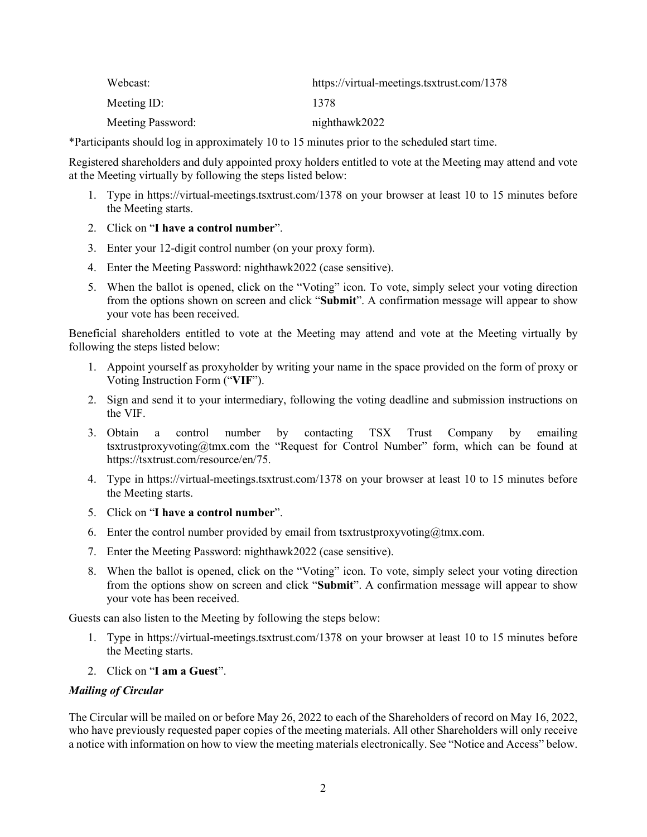| Webcast:          | https://virtual-meetings.tsxtrust.com/1378 |
|-------------------|--------------------------------------------|
| Meeting ID:       | 1378                                       |
| Meeting Password: | nighthawk2022                              |

\*Participants should log in approximately 10 to 15 minutes prior to the scheduled start time.

Registered shareholders and duly appointed proxy holders entitled to vote at the Meeting may attend and vote at the Meeting virtually by following the steps listed below:

- 1. Type in https://virtual-meetings.tsxtrust.com/1378 on your browser at least 10 to 15 minutes before the Meeting starts.
- 2. Click on "**I have a control number**".
- 3. Enter your 12-digit control number (on your proxy form).
- 4. Enter the Meeting Password: nighthawk2022 (case sensitive).
- 5. When the ballot is opened, click on the "Voting" icon. To vote, simply select your voting direction from the options shown on screen and click "**Submit**". A confirmation message will appear to show your vote has been received.

Beneficial shareholders entitled to vote at the Meeting may attend and vote at the Meeting virtually by following the steps listed below:

- 1. Appoint yourself as proxyholder by writing your name in the space provided on the form of proxy or Voting Instruction Form ("**VIF**").
- 2. Sign and send it to your intermediary, following the voting deadline and submission instructions on the VIF.
- 3. Obtain a control number by contacting TSX Trust Company by emailing tsxtrustproxyvoting@tmx.com the "Request for Control Number" form, which can be found at https://tsxtrust.com/resource/en/75.
- 4. Type in https://virtual-meetings.tsxtrust.com/1378 on your browser at least 10 to 15 minutes before the Meeting starts.
- 5. Click on "**I have a control number**".
- 6. Enter the control number provided by email from tsxtrustproxyvoting $@tmx.com$ .
- 7. Enter the Meeting Password: nighthawk2022 (case sensitive).
- 8. When the ballot is opened, click on the "Voting" icon. To vote, simply select your voting direction from the options show on screen and click "**Submit**". A confirmation message will appear to show your vote has been received.

Guests can also listen to the Meeting by following the steps below:

- 1. Type in https://virtual-meetings.tsxtrust.com/1378 on your browser at least 10 to 15 minutes before the Meeting starts.
- 2. Click on "**I am a Guest**".

## *Mailing of Circular*

The Circular will be mailed on or before May 26, 2022 to each of the Shareholders of record on May 16, 2022, who have previously requested paper copies of the meeting materials. All other Shareholders will only receive a notice with information on how to view the meeting materials electronically. See "Notice and Access" below.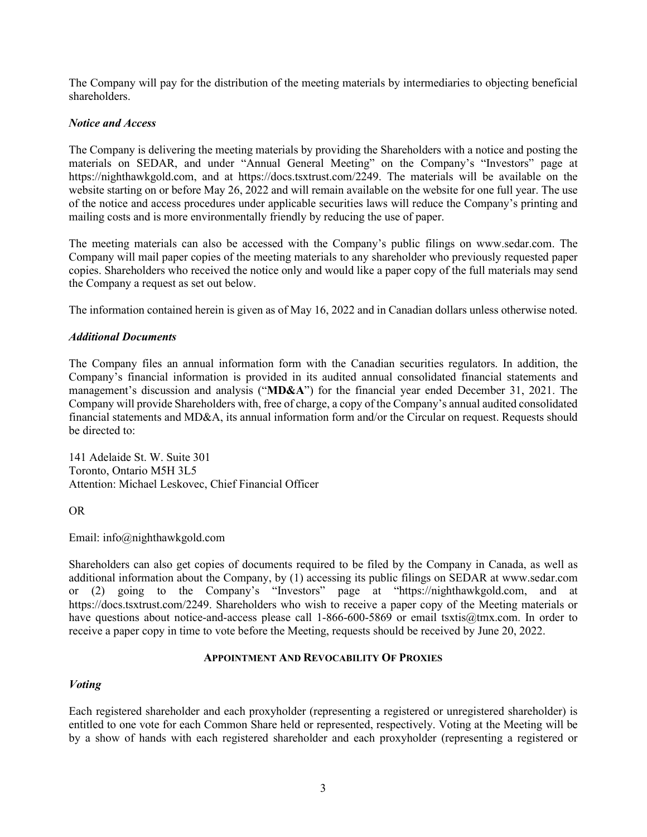The Company will pay for the distribution of the meeting materials by intermediaries to objecting beneficial shareholders.

## *Notice and Access*

The Company is delivering the meeting materials by providing the Shareholders with a notice and posting the materials on SEDAR, and under "Annual General Meeting" on the Company's "Investors" page at https://nighthawkgold.com, and at https://docs.tsxtrust.com/2249. The materials will be available on the website starting on or before May 26, 2022 and will remain available on the website for one full year. The use of the notice and access procedures under applicable securities laws will reduce the Company's printing and mailing costs and is more environmentally friendly by reducing the use of paper.

The meeting materials can also be accessed with the Company's public filings on www.sedar.com. The Company will mail paper copies of the meeting materials to any shareholder who previously requested paper copies. Shareholders who received the notice only and would like a paper copy of the full materials may send the Company a request as set out below.

The information contained herein is given as of May 16, 2022 and in Canadian dollars unless otherwise noted.

## *Additional Documents*

The Company files an annual information form with the Canadian securities regulators. In addition, the Company's financial information is provided in its audited annual consolidated financial statements and management's discussion and analysis ("**MD&A**") for the financial year ended December 31, 2021. The Company will provide Shareholders with, free of charge, a copy of the Company's annual audited consolidated financial statements and MD&A, its annual information form and/or the Circular on request. Requests should be directed to:

141 Adelaide St. W. Suite 301 Toronto, Ontario M5H 3L5 Attention: Michael Leskovec, Chief Financial Officer

OR

Email: info@nighthawkgold.com

Shareholders can also get copies of documents required to be filed by the Company in Canada, as well as additional information about the Company, by (1) accessing its public filings on SEDAR at www.sedar.com or (2) going to the Company's "Investors" page at "https://nighthawkgold.com, and at https://docs.tsxtrust.com/2249. Shareholders who wish to receive a paper copy of the Meeting materials or have questions about notice-and-access please call 1-866-600-5869 or email tsxtis@tmx.com. In order to receive a paper copy in time to vote before the Meeting, requests should be received by June 20, 2022.

## **APPOINTMENT AND REVOCABILITY OF PROXIES**

# *Voting*

Each registered shareholder and each proxyholder (representing a registered or unregistered shareholder) is entitled to one vote for each Common Share held or represented, respectively. Voting at the Meeting will be by a show of hands with each registered shareholder and each proxyholder (representing a registered or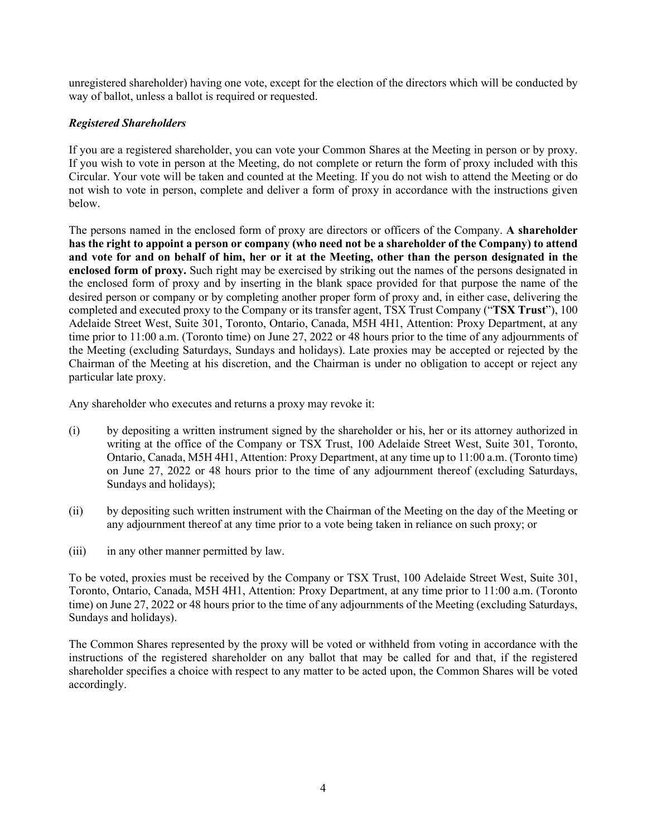unregistered shareholder) having one vote, except for the election of the directors which will be conducted by way of ballot, unless a ballot is required or requested.

# *Registered Shareholders*

If you are a registered shareholder, you can vote your Common Shares at the Meeting in person or by proxy. If you wish to vote in person at the Meeting, do not complete or return the form of proxy included with this Circular. Your vote will be taken and counted at the Meeting. If you do not wish to attend the Meeting or do not wish to vote in person, complete and deliver a form of proxy in accordance with the instructions given below.

The persons named in the enclosed form of proxy are directors or officers of the Company. **A shareholder has the right to appoint a person or company (who need not be a shareholder of the Company) to attend and vote for and on behalf of him, her or it at the Meeting, other than the person designated in the enclosed form of proxy.** Such right may be exercised by striking out the names of the persons designated in the enclosed form of proxy and by inserting in the blank space provided for that purpose the name of the desired person or company or by completing another proper form of proxy and, in either case, delivering the completed and executed proxy to the Company or its transfer agent, TSX Trust Company ("**TSX Trust**"), 100 Adelaide Street West, Suite 301, Toronto, Ontario, Canada, M5H 4H1, Attention: Proxy Department, at any time prior to 11:00 a.m. (Toronto time) on June 27, 2022 or 48 hours prior to the time of any adjournments of the Meeting (excluding Saturdays, Sundays and holidays). Late proxies may be accepted or rejected by the Chairman of the Meeting at his discretion, and the Chairman is under no obligation to accept or reject any particular late proxy.

Any shareholder who executes and returns a proxy may revoke it:

- (i) by depositing a written instrument signed by the shareholder or his, her or its attorney authorized in writing at the office of the Company or TSX Trust, 100 Adelaide Street West, Suite 301, Toronto, Ontario, Canada, M5H 4H1, Attention: Proxy Department, at any time up to 11:00 a.m. (Toronto time) on June 27, 2022 or 48 hours prior to the time of any adjournment thereof (excluding Saturdays, Sundays and holidays);
- (ii) by depositing such written instrument with the Chairman of the Meeting on the day of the Meeting or any adjournment thereof at any time prior to a vote being taken in reliance on such proxy; or
- (iii) in any other manner permitted by law.

To be voted, proxies must be received by the Company or TSX Trust, 100 Adelaide Street West, Suite 301, Toronto, Ontario, Canada, M5H 4H1, Attention: Proxy Department, at any time prior to 11:00 a.m. (Toronto time) on June 27, 2022 or 48 hours prior to the time of any adjournments of the Meeting (excluding Saturdays, Sundays and holidays).

The Common Shares represented by the proxy will be voted or withheld from voting in accordance with the instructions of the registered shareholder on any ballot that may be called for and that, if the registered shareholder specifies a choice with respect to any matter to be acted upon, the Common Shares will be voted accordingly.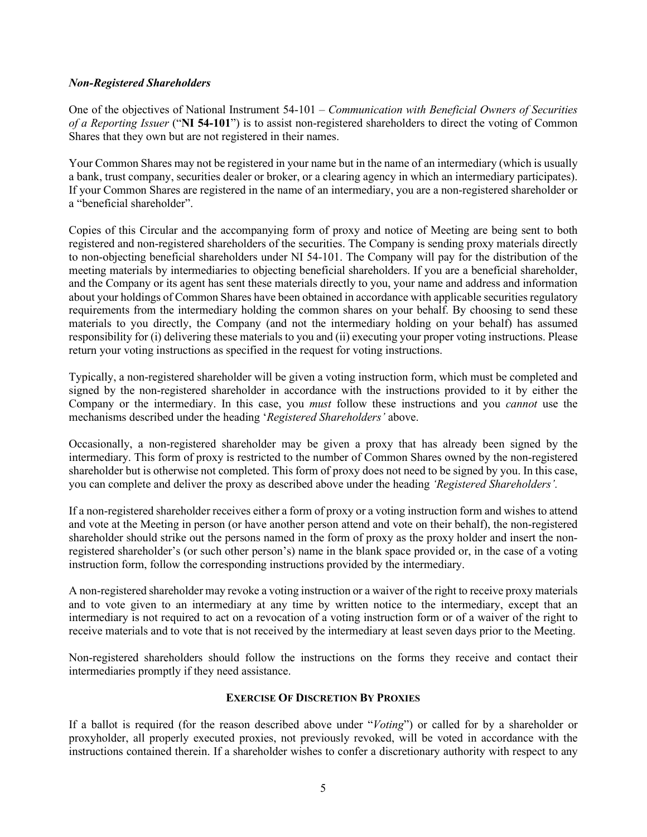## *Non-Registered Shareholders*

One of the objectives of National Instrument 54-101 – *Communication with Beneficial Owners of Securities of a Reporting Issuer* ("**NI 54-101**") is to assist non-registered shareholders to direct the voting of Common Shares that they own but are not registered in their names.

Your Common Shares may not be registered in your name but in the name of an intermediary (which is usually a bank, trust company, securities dealer or broker, or a clearing agency in which an intermediary participates). If your Common Shares are registered in the name of an intermediary, you are a non-registered shareholder or a "beneficial shareholder".

Copies of this Circular and the accompanying form of proxy and notice of Meeting are being sent to both registered and non-registered shareholders of the securities. The Company is sending proxy materials directly to non-objecting beneficial shareholders under NI 54-101. The Company will pay for the distribution of the meeting materials by intermediaries to objecting beneficial shareholders. If you are a beneficial shareholder, and the Company or its agent has sent these materials directly to you, your name and address and information about your holdings of Common Shares have been obtained in accordance with applicable securities regulatory requirements from the intermediary holding the common shares on your behalf. By choosing to send these materials to you directly, the Company (and not the intermediary holding on your behalf) has assumed responsibility for (i) delivering these materials to you and (ii) executing your proper voting instructions. Please return your voting instructions as specified in the request for voting instructions.

Typically, a non-registered shareholder will be given a voting instruction form, which must be completed and signed by the non-registered shareholder in accordance with the instructions provided to it by either the Company or the intermediary. In this case, you *must* follow these instructions and you *cannot* use the mechanisms described under the heading '*Registered Shareholders'* above.

Occasionally, a non-registered shareholder may be given a proxy that has already been signed by the intermediary. This form of proxy is restricted to the number of Common Shares owned by the non-registered shareholder but is otherwise not completed. This form of proxy does not need to be signed by you. In this case, you can complete and deliver the proxy as described above under the heading *'Registered Shareholders'.*

If a non-registered shareholder receives either a form of proxy or a voting instruction form and wishes to attend and vote at the Meeting in person (or have another person attend and vote on their behalf), the non-registered shareholder should strike out the persons named in the form of proxy as the proxy holder and insert the nonregistered shareholder's (or such other person's) name in the blank space provided or, in the case of a voting instruction form, follow the corresponding instructions provided by the intermediary.

A non-registered shareholder may revoke a voting instruction or a waiver of the right to receive proxy materials and to vote given to an intermediary at any time by written notice to the intermediary, except that an intermediary is not required to act on a revocation of a voting instruction form or of a waiver of the right to receive materials and to vote that is not received by the intermediary at least seven days prior to the Meeting.

Non-registered shareholders should follow the instructions on the forms they receive and contact their intermediaries promptly if they need assistance.

## **EXERCISE OF DISCRETION BY PROXIES**

If a ballot is required (for the reason described above under "*Voting*") or called for by a shareholder or proxyholder, all properly executed proxies, not previously revoked, will be voted in accordance with the instructions contained therein. If a shareholder wishes to confer a discretionary authority with respect to any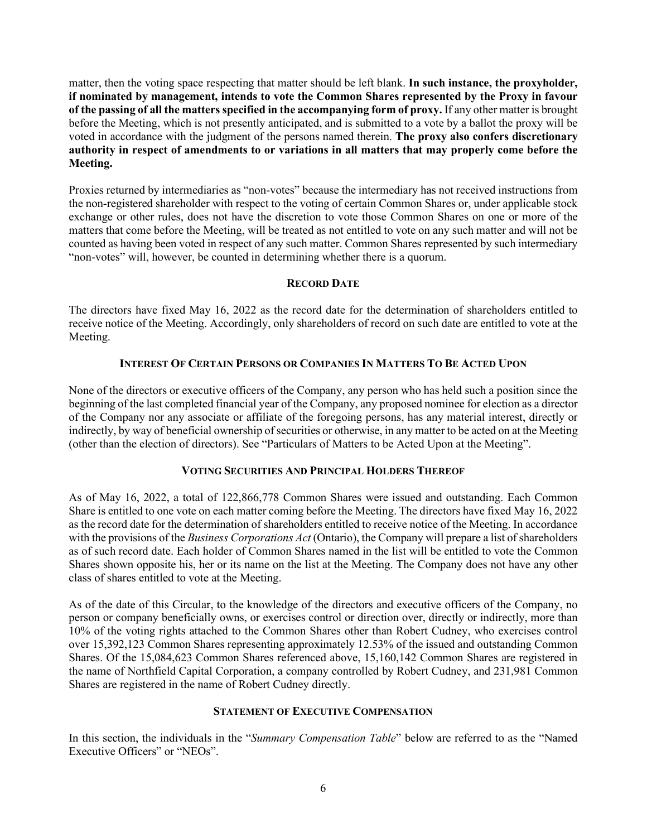matter, then the voting space respecting that matter should be left blank. **In such instance, the proxyholder, if nominated by management, intends to vote the Common Shares represented by the Proxy in favour of the passing of all the matters specified in the accompanying form of proxy.** If any other matter is brought before the Meeting, which is not presently anticipated, and is submitted to a vote by a ballot the proxy will be voted in accordance with the judgment of the persons named therein. **The proxy also confers discretionary authority in respect of amendments to or variations in all matters that may properly come before the Meeting.**

Proxies returned by intermediaries as "non-votes" because the intermediary has not received instructions from the non-registered shareholder with respect to the voting of certain Common Shares or, under applicable stock exchange or other rules, does not have the discretion to vote those Common Shares on one or more of the matters that come before the Meeting, will be treated as not entitled to vote on any such matter and will not be counted as having been voted in respect of any such matter. Common Shares represented by such intermediary "non-votes" will, however, be counted in determining whether there is a quorum.

## **RECORD DATE**

The directors have fixed May 16, 2022 as the record date for the determination of shareholders entitled to receive notice of the Meeting. Accordingly, only shareholders of record on such date are entitled to vote at the Meeting.

## **INTEREST OF CERTAIN PERSONS OR COMPANIES IN MATTERS TO BE ACTED UPON**

None of the directors or executive officers of the Company, any person who has held such a position since the beginning of the last completed financial year of the Company, any proposed nominee for election as a director of the Company nor any associate or affiliate of the foregoing persons, has any material interest, directly or indirectly, by way of beneficial ownership of securities or otherwise, in any matter to be acted on at the Meeting (other than the election of directors). See "Particulars of Matters to be Acted Upon at the Meeting".

# **VOTING SECURITIES AND PRINCIPAL HOLDERS THEREOF**

As of May 16, 2022, a total of 122,866,778 Common Shares were issued and outstanding. Each Common Share is entitled to one vote on each matter coming before the Meeting. The directors have fixed May 16, 2022 as the record date for the determination of shareholders entitled to receive notice of the Meeting. In accordance with the provisions of the *Business Corporations Act* (Ontario), the Company will prepare a list of shareholders as of such record date. Each holder of Common Shares named in the list will be entitled to vote the Common Shares shown opposite his, her or its name on the list at the Meeting. The Company does not have any other class of shares entitled to vote at the Meeting.

As of the date of this Circular, to the knowledge of the directors and executive officers of the Company, no person or company beneficially owns, or exercises control or direction over, directly or indirectly, more than 10% of the voting rights attached to the Common Shares other than Robert Cudney, who exercises control over 15,392,123 Common Shares representing approximately 12.53% of the issued and outstanding Common Shares. Of the 15,084,623 Common Shares referenced above, 15,160,142 Common Shares are registered in the name of Northfield Capital Corporation, a company controlled by Robert Cudney, and 231,981 Common Shares are registered in the name of Robert Cudney directly.

## **STATEMENT OF EXECUTIVE COMPENSATION**

In this section, the individuals in the "*Summary Compensation Table*" below are referred to as the "Named Executive Officers" or "NEOs".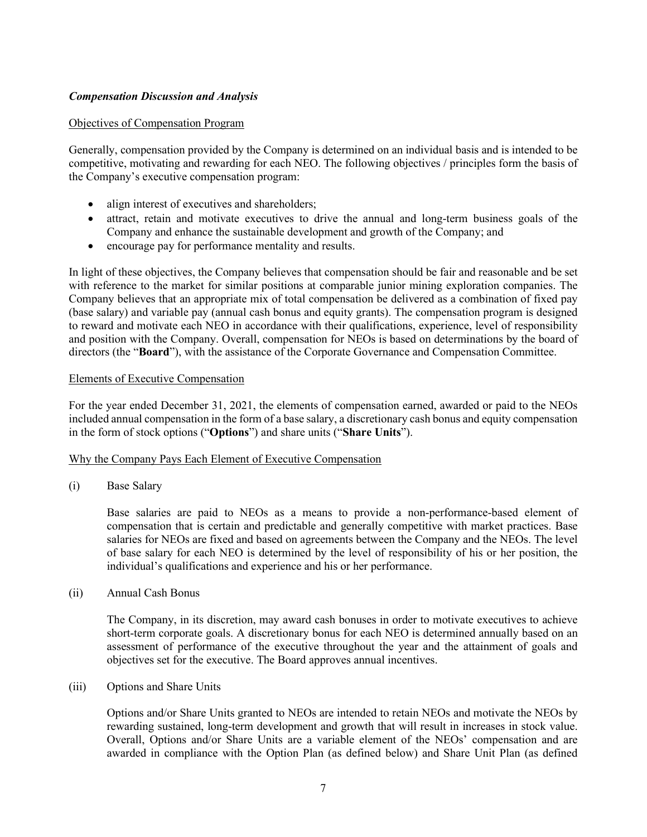## *Compensation Discussion and Analysis*

#### Objectives of Compensation Program

Generally, compensation provided by the Company is determined on an individual basis and is intended to be competitive, motivating and rewarding for each NEO. The following objectives / principles form the basis of the Company's executive compensation program:

- align interest of executives and shareholders;
- attract, retain and motivate executives to drive the annual and long-term business goals of the Company and enhance the sustainable development and growth of the Company; and
- encourage pay for performance mentality and results.

In light of these objectives, the Company believes that compensation should be fair and reasonable and be set with reference to the market for similar positions at comparable junior mining exploration companies. The Company believes that an appropriate mix of total compensation be delivered as a combination of fixed pay (base salary) and variable pay (annual cash bonus and equity grants). The compensation program is designed to reward and motivate each NEO in accordance with their qualifications, experience, level of responsibility and position with the Company. Overall, compensation for NEOs is based on determinations by the board of directors (the "**Board**"), with the assistance of the Corporate Governance and Compensation Committee.

#### Elements of Executive Compensation

For the year ended December 31, 2021, the elements of compensation earned, awarded or paid to the NEOs included annual compensation in the form of a base salary, a discretionary cash bonus and equity compensation in the form of stock options ("**Options**") and share units ("**Share Units**").

#### Why the Company Pays Each Element of Executive Compensation

(i) Base Salary

Base salaries are paid to NEOs as a means to provide a non-performance-based element of compensation that is certain and predictable and generally competitive with market practices. Base salaries for NEOs are fixed and based on agreements between the Company and the NEOs. The level of base salary for each NEO is determined by the level of responsibility of his or her position, the individual's qualifications and experience and his or her performance.

(ii) Annual Cash Bonus

The Company, in its discretion, may award cash bonuses in order to motivate executives to achieve short-term corporate goals. A discretionary bonus for each NEO is determined annually based on an assessment of performance of the executive throughout the year and the attainment of goals and objectives set for the executive. The Board approves annual incentives.

(iii) Options and Share Units

Options and/or Share Units granted to NEOs are intended to retain NEOs and motivate the NEOs by rewarding sustained, long-term development and growth that will result in increases in stock value. Overall, Options and/or Share Units are a variable element of the NEOs' compensation and are awarded in compliance with the Option Plan (as defined below) and Share Unit Plan (as defined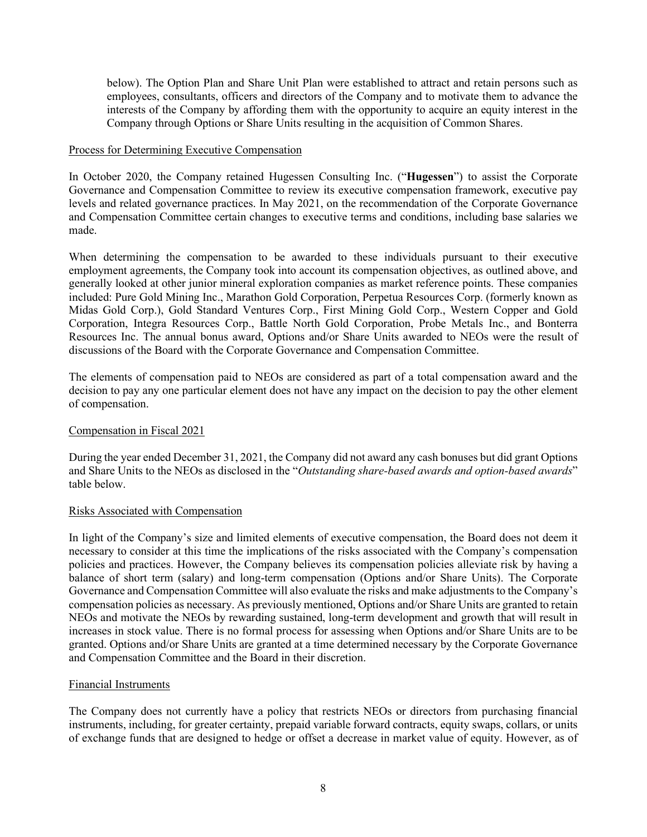below). The Option Plan and Share Unit Plan were established to attract and retain persons such as employees, consultants, officers and directors of the Company and to motivate them to advance the interests of the Company by affording them with the opportunity to acquire an equity interest in the Company through Options or Share Units resulting in the acquisition of Common Shares.

#### Process for Determining Executive Compensation

In October 2020, the Company retained Hugessen Consulting Inc. ("**Hugessen**") to assist the Corporate Governance and Compensation Committee to review its executive compensation framework, executive pay levels and related governance practices. In May 2021, on the recommendation of the Corporate Governance and Compensation Committee certain changes to executive terms and conditions, including base salaries we made.

When determining the compensation to be awarded to these individuals pursuant to their executive employment agreements, the Company took into account its compensation objectives, as outlined above, and generally looked at other junior mineral exploration companies as market reference points. These companies included: Pure Gold Mining Inc., Marathon Gold Corporation, Perpetua Resources Corp. (formerly known as Midas Gold Corp.), Gold Standard Ventures Corp., First Mining Gold Corp., Western Copper and Gold Corporation, Integra Resources Corp., Battle North Gold Corporation, Probe Metals Inc., and Bonterra Resources Inc. The annual bonus award, Options and/or Share Units awarded to NEOs were the result of discussions of the Board with the Corporate Governance and Compensation Committee.

The elements of compensation paid to NEOs are considered as part of a total compensation award and the decision to pay any one particular element does not have any impact on the decision to pay the other element of compensation.

## Compensation in Fiscal 2021

During the year ended December 31, 2021, the Company did not award any cash bonuses but did grant Options and Share Units to the NEOs as disclosed in the "*Outstanding share-based awards and option-based awards*" table below.

## Risks Associated with Compensation

In light of the Company's size and limited elements of executive compensation, the Board does not deem it necessary to consider at this time the implications of the risks associated with the Company's compensation policies and practices. However, the Company believes its compensation policies alleviate risk by having a balance of short term (salary) and long-term compensation (Options and/or Share Units). The Corporate Governance and Compensation Committee will also evaluate the risks and make adjustments to the Company's compensation policies as necessary. As previously mentioned, Options and/or Share Units are granted to retain NEOs and motivate the NEOs by rewarding sustained, long-term development and growth that will result in increases in stock value. There is no formal process for assessing when Options and/or Share Units are to be granted. Options and/or Share Units are granted at a time determined necessary by the Corporate Governance and Compensation Committee and the Board in their discretion.

## Financial Instruments

The Company does not currently have a policy that restricts NEOs or directors from purchasing financial instruments, including, for greater certainty, prepaid variable forward contracts, equity swaps, collars, or units of exchange funds that are designed to hedge or offset a decrease in market value of equity. However, as of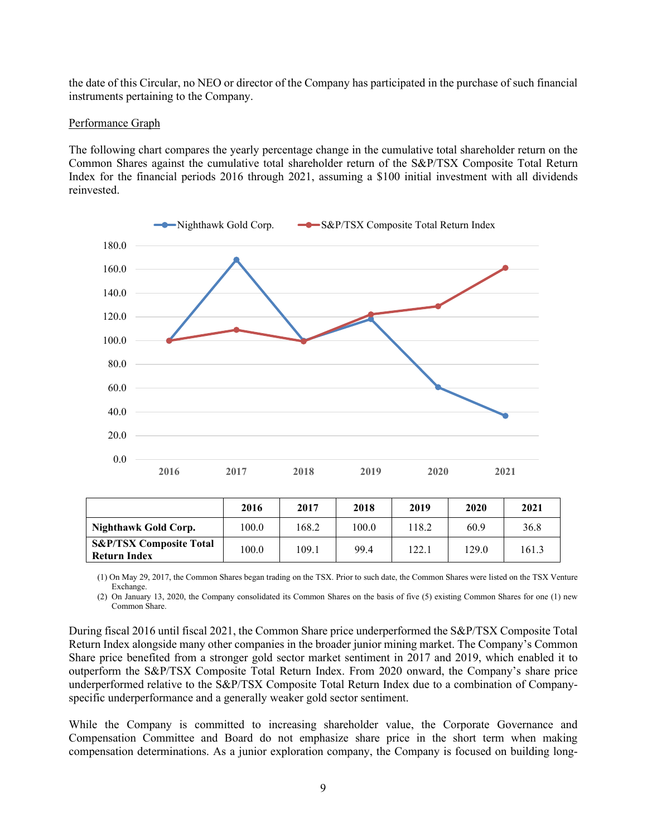the date of this Circular, no NEO or director of the Company has participated in the purchase of such financial instruments pertaining to the Company.

#### Performance Graph

The following chart compares the yearly percentage change in the cumulative total shareholder return on the Common Shares against the cumulative total shareholder return of the S&P/TSX Composite Total Return Index for the financial periods 2016 through 2021, assuming a \$100 initial investment with all dividends reinvested.



| Nighthawk Gold Corp.<br>100.0                                      | 168.2 | 100.0 | 118.2 | 60.9  | 36.8  |
|--------------------------------------------------------------------|-------|-------|-------|-------|-------|
| <b>S&amp;P/TSX Composite Total</b><br>100.0<br><b>Return Index</b> | 109.1 | 99.4  | 122.1 | 129.0 | 161.3 |

(1) On May 29, 2017, the Common Shares began trading on the TSX. Prior to such date, the Common Shares were listed on the TSX Venture Exchange.

(2) On January 13, 2020, the Company consolidated its Common Shares on the basis of five (5) existing Common Shares for one (1) new Common Share.

During fiscal 2016 until fiscal 2021, the Common Share price underperformed the S&P/TSX Composite Total Return Index alongside many other companies in the broader junior mining market. The Company's Common Share price benefited from a stronger gold sector market sentiment in 2017 and 2019, which enabled it to outperform the S&P/TSX Composite Total Return Index. From 2020 onward, the Company's share price underperformed relative to the S&P/TSX Composite Total Return Index due to a combination of Companyspecific underperformance and a generally weaker gold sector sentiment.

While the Company is committed to increasing shareholder value, the Corporate Governance and Compensation Committee and Board do not emphasize share price in the short term when making compensation determinations. As a junior exploration company, the Company is focused on building long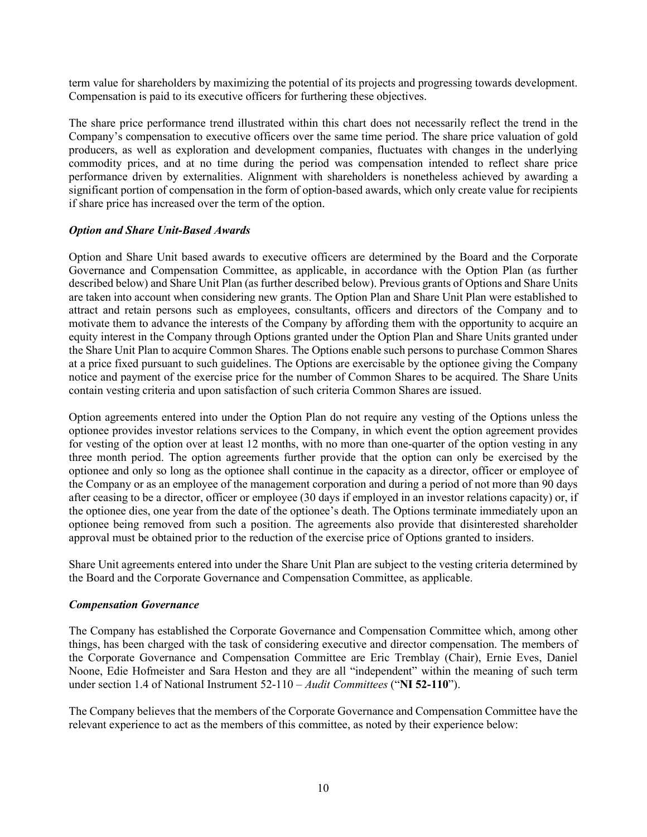term value for shareholders by maximizing the potential of its projects and progressing towards development. Compensation is paid to its executive officers for furthering these objectives.

The share price performance trend illustrated within this chart does not necessarily reflect the trend in the Company's compensation to executive officers over the same time period. The share price valuation of gold producers, as well as exploration and development companies, fluctuates with changes in the underlying commodity prices, and at no time during the period was compensation intended to reflect share price performance driven by externalities. Alignment with shareholders is nonetheless achieved by awarding a significant portion of compensation in the form of option-based awards, which only create value for recipients if share price has increased over the term of the option.

## *Option and Share Unit-Based Awards*

Option and Share Unit based awards to executive officers are determined by the Board and the Corporate Governance and Compensation Committee, as applicable, in accordance with the Option Plan (as further described below) and Share Unit Plan (as further described below). Previous grants of Options and Share Units are taken into account when considering new grants. The Option Plan and Share Unit Plan were established to attract and retain persons such as employees, consultants, officers and directors of the Company and to motivate them to advance the interests of the Company by affording them with the opportunity to acquire an equity interest in the Company through Options granted under the Option Plan and Share Units granted under the Share Unit Plan to acquire Common Shares. The Options enable such persons to purchase Common Shares at a price fixed pursuant to such guidelines. The Options are exercisable by the optionee giving the Company notice and payment of the exercise price for the number of Common Shares to be acquired. The Share Units contain vesting criteria and upon satisfaction of such criteria Common Shares are issued.

Option agreements entered into under the Option Plan do not require any vesting of the Options unless the optionee provides investor relations services to the Company, in which event the option agreement provides for vesting of the option over at least 12 months, with no more than one-quarter of the option vesting in any three month period. The option agreements further provide that the option can only be exercised by the optionee and only so long as the optionee shall continue in the capacity as a director, officer or employee of the Company or as an employee of the management corporation and during a period of not more than 90 days after ceasing to be a director, officer or employee (30 days if employed in an investor relations capacity) or, if the optionee dies, one year from the date of the optionee's death. The Options terminate immediately upon an optionee being removed from such a position. The agreements also provide that disinterested shareholder approval must be obtained prior to the reduction of the exercise price of Options granted to insiders.

Share Unit agreements entered into under the Share Unit Plan are subject to the vesting criteria determined by the Board and the Corporate Governance and Compensation Committee, as applicable.

## *Compensation Governance*

The Company has established the Corporate Governance and Compensation Committee which, among other things, has been charged with the task of considering executive and director compensation. The members of the Corporate Governance and Compensation Committee are Eric Tremblay (Chair), Ernie Eves, Daniel Noone, Edie Hofmeister and Sara Heston and they are all "independent" within the meaning of such term under section 1.4 of National Instrument 52-110 – *Audit Committees* ("**NI 52-110**").

The Company believes that the members of the Corporate Governance and Compensation Committee have the relevant experience to act as the members of this committee, as noted by their experience below: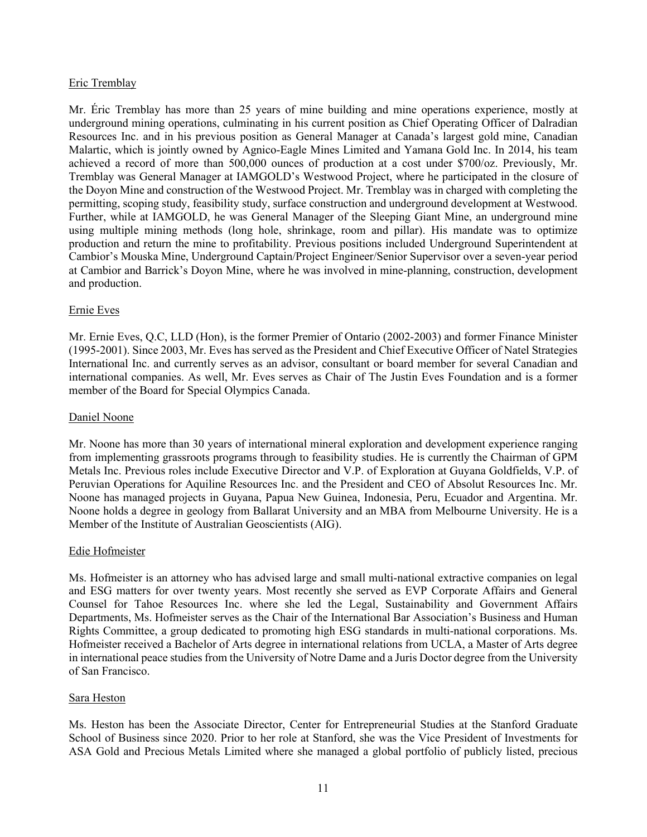## Eric Tremblay

Mr. Éric Tremblay has more than 25 years of mine building and mine operations experience, mostly at underground mining operations, culminating in his current position as Chief Operating Officer of Dalradian Resources Inc. and in his previous position as General Manager at Canada's largest gold mine, Canadian Malartic, which is jointly owned by Agnico-Eagle Mines Limited and Yamana Gold Inc. In 2014, his team achieved a record of more than 500,000 ounces of production at a cost under \$700/oz. Previously, Mr. Tremblay was General Manager at IAMGOLD's Westwood Project, where he participated in the closure of the Doyon Mine and construction of the Westwood Project. Mr. Tremblay was in charged with completing the permitting, scoping study, feasibility study, surface construction and underground development at Westwood. Further, while at IAMGOLD, he was General Manager of the Sleeping Giant Mine, an underground mine using multiple mining methods (long hole, shrinkage, room and pillar). His mandate was to optimize production and return the mine to profitability. Previous positions included Underground Superintendent at Cambior's Mouska Mine, Underground Captain/Project Engineer/Senior Supervisor over a seven-year period at Cambior and Barrick's Doyon Mine, where he was involved in mine-planning, construction, development and production.

#### Ernie Eves

Mr. Ernie Eves, Q.C, LLD (Hon), is the former Premier of Ontario (2002-2003) and former Finance Minister (1995-2001). Since 2003, Mr. Eves has served as the President and Chief Executive Officer of Natel Strategies International Inc. and currently serves as an advisor, consultant or board member for several Canadian and international companies. As well, Mr. Eves serves as Chair of The Justin Eves Foundation and is a former member of the Board for Special Olympics Canada.

#### Daniel Noone

Mr. Noone has more than 30 years of international mineral exploration and development experience ranging from implementing grassroots programs through to feasibility studies. He is currently the Chairman of GPM Metals Inc. Previous roles include Executive Director and V.P. of Exploration at Guyana Goldfields, V.P. of Peruvian Operations for Aquiline Resources Inc. and the President and CEO of Absolut Resources Inc. Mr. Noone has managed projects in Guyana, Papua New Guinea, Indonesia, Peru, Ecuador and Argentina. Mr. Noone holds a degree in geology from Ballarat University and an MBA from Melbourne University. He is a Member of the Institute of Australian Geoscientists (AIG).

#### Edie Hofmeister

Ms. Hofmeister is an attorney who has advised large and small multi-national extractive companies on legal and ESG matters for over twenty years. Most recently she served as EVP Corporate Affairs and General Counsel for Tahoe Resources Inc. where she led the Legal, Sustainability and Government Affairs Departments, Ms. Hofmeister serves as the Chair of the International Bar Association's Business and Human Rights Committee, a group dedicated to promoting high ESG standards in multi-national corporations. Ms. Hofmeister received a Bachelor of Arts degree in international relations from UCLA, a Master of Arts degree in international peace studies from the University of Notre Dame and a Juris Doctor degree from the University of San Francisco.

## Sara Heston

Ms. Heston has been the Associate Director, Center for Entrepreneurial Studies at the Stanford Graduate School of Business since 2020. Prior to her role at Stanford, she was the Vice President of Investments for ASA Gold and Precious Metals Limited where she managed a global portfolio of publicly listed, precious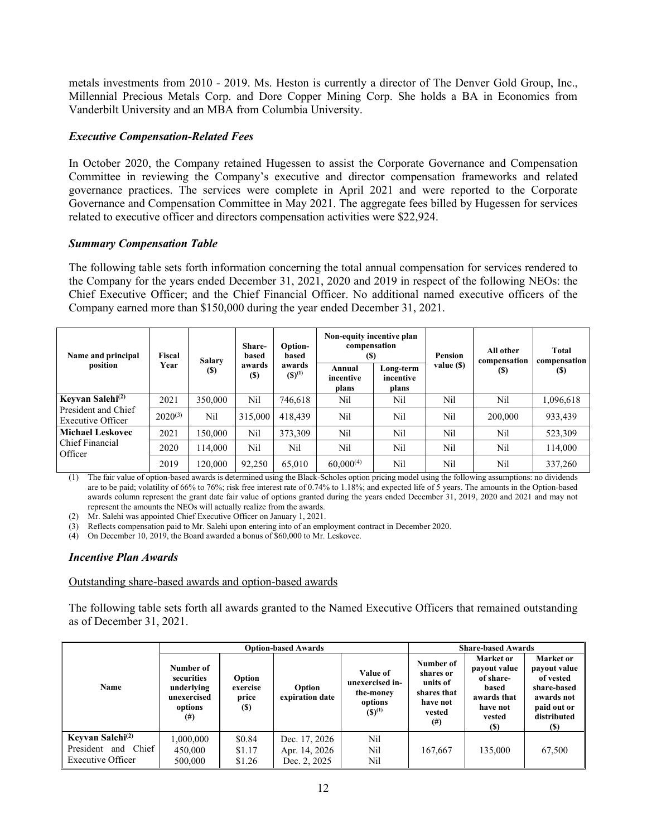metals investments from 2010 - 2019. Ms. Heston is currently a director of The Denver Gold Group, Inc., Millennial Precious Metals Corp. and Dore Copper Mining Corp. She holds a BA in Economics from Vanderbilt University and an MBA from Columbia University.

## *Executive Compensation-Related Fees*

In October 2020, the Company retained Hugessen to assist the Corporate Governance and Compensation Committee in reviewing the Company's executive and director compensation frameworks and related governance practices. The services were complete in April 2021 and were reported to the Corporate Governance and Compensation Committee in May 2021. The aggregate fees billed by Hugessen for services related to executive officer and directors compensation activities were \$22,924.

## *Summary Compensation Table*

The following table sets forth information concerning the total annual compensation for services rendered to the Company for the years ended December 31, 2021, 2020 and 2019 in respect of the following NEOs: the Chief Executive Officer; and the Chief Financial Officer. No additional named executive officers of the Company earned more than \$150,000 during the year ended December 31, 2021.

| Name and principal                       | Fiscal       | <b>Salary</b> | Share-<br>based      | Option-<br>based      | Non-equity incentive plan<br>compensation<br>(S) |                                 | Pension    | All other<br>compensation | Total<br>compensation |
|------------------------------------------|--------------|---------------|----------------------|-----------------------|--------------------------------------------------|---------------------------------|------------|---------------------------|-----------------------|
| position                                 | Year         | (S)           | awards<br><b>(S)</b> | awards<br>$(S)^{(1)}$ | Annual<br>incentive<br>plans                     | Long-term<br>incentive<br>plans | value (\$) | <b>(S)</b>                | (S)                   |
| Keyvan Salehi <sup>(2)</sup>             | 2021         | 350,000       | Nil                  | 746.618               | Nil                                              | Nil                             | Nil        | Nil                       | 1,096,618             |
| President and Chief<br>Executive Officer | $2020^{(3)}$ | Nil           | 315,000              | 418,439               | Nil                                              | Nil                             | Nil        | 200,000                   | 933,439               |
| <b>Michael Leskovec</b>                  | 2021         | 150,000       | Nil                  | 373,309               | Nil                                              | Nil                             | Nil        | Nil                       | 523,309               |
| Chief Financial<br>Officer               | 2020         | 114,000       | Nil                  | Nil                   | Nil                                              | Nil                             | Nil        | Nil                       | 114,000               |
|                                          | 2019         | 120,000       | 92,250               | 65,010                | $60,000^{(4)}$                                   | Nil                             | Nil        | Nil                       | 337,260               |

(1) The fair value of option-based awards is determined using the Black-Scholes option pricing model using the following assumptions: no dividends are to be paid; volatility of 66% to 76%; risk free interest rate of 0.74% to 1.18%; and expected life of 5 years. The amounts in the Option-based awards column represent the grant date fair value of options granted during the years ended December 31, 2019, 2020 and 2021 and may not represent the amounts the NEOs will actually realize from the awards.

(2) Mr. Salehi was appointed Chief Executive Officer on January 1, 2021.

(3) Reflects compensation paid to Mr. Salehi upon entering into of an employment contract in December 2020.

(4) On December 10, 2019, the Board awarded a bonus of \$60,000 to Mr. Leskovec.

## *Incentive Plan Awards*

## Outstanding share-based awards and option-based awards

The following table sets forth all awards granted to the Named Executive Officers that remained outstanding as of December 31, 2021.

|                                                                                  |                                                                             |                                           | <b>Option-based Awards</b>                     |                                                                    |                                                                                     | <b>Share-based Awards</b>                                                                          |                                                                                                                 |
|----------------------------------------------------------------------------------|-----------------------------------------------------------------------------|-------------------------------------------|------------------------------------------------|--------------------------------------------------------------------|-------------------------------------------------------------------------------------|----------------------------------------------------------------------------------------------------|-----------------------------------------------------------------------------------------------------------------|
| Name                                                                             | Number of<br>securities<br>underlying<br>unexercised<br>options<br>$^{(#)}$ | Option<br>exercise<br>price<br><b>(S)</b> | Option<br>expiration date                      | Value of<br>unexercised in-<br>the-money<br>options<br>$(S)^{(1)}$ | Number of<br>shares or<br>units of<br>shares that<br>have not<br>vested<br>$^{(#)}$ | <b>Market</b> or<br>payout value<br>of share-<br>based<br>awards that<br>have not<br>vested<br>(S) | <b>Market</b> or<br>payout value<br>of vested<br>share-based<br>awards not<br>paid out or<br>distributed<br>(S) |
| Keyvan Salehi <sup>(2)</sup><br>Chief 1<br>President<br>and<br>Executive Officer | 1,000,000<br>450,000<br>500,000                                             | \$0.84<br>\$1.17<br>\$1.26                | Dec. 17, 2026<br>Apr. 14, 2026<br>Dec. 2, 2025 | Nil<br>Nil<br>Nil                                                  | 167,667                                                                             | 135,000                                                                                            | 67,500                                                                                                          |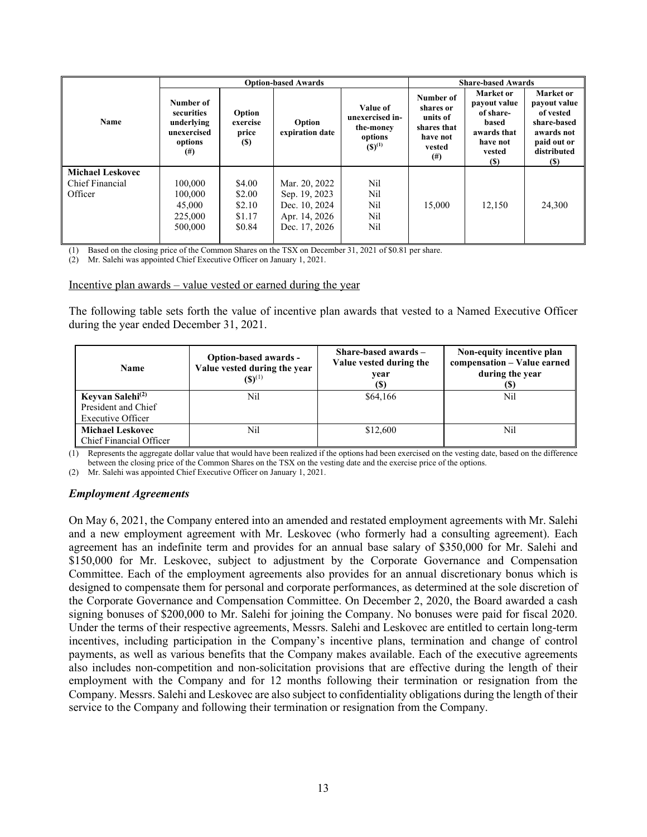|                                                       |                                                                             |                                                | <b>Option-based Awards</b>                                                        |                                                                    | <b>Share-based Awards</b>                                                           |                                                                                                            |                                                                                                                         |
|-------------------------------------------------------|-----------------------------------------------------------------------------|------------------------------------------------|-----------------------------------------------------------------------------------|--------------------------------------------------------------------|-------------------------------------------------------------------------------------|------------------------------------------------------------------------------------------------------------|-------------------------------------------------------------------------------------------------------------------------|
| Name                                                  | Number of<br>securities<br>underlying<br>unexercised<br>options<br>$^{(#)}$ | Option<br>exercise<br>price<br>(S)             | Option<br>expiration date                                                         | Value of<br>unexercised in-<br>the-money<br>options<br>$(S)^{(1)}$ | Number of<br>shares or<br>units of<br>shares that<br>have not<br>vested<br>$^{(#)}$ | <b>Market</b> or<br>payout value<br>of share-<br>based<br>awards that<br>have not<br>vested<br><b>(\$)</b> | <b>Market</b> or<br>payout value<br>of vested<br>share-based<br>awards not<br>paid out or<br>distributed<br><b>(\$)</b> |
| <b>Michael Leskovec</b><br>Chief Financial<br>Officer | 100,000<br>100,000<br>45,000<br>225,000<br>500,000                          | \$4.00<br>\$2.00<br>\$2.10<br>\$1.17<br>\$0.84 | Mar. 20, 2022<br>Sep. 19, 2023<br>Dec. 10, 2024<br>Apr. 14, 2026<br>Dec. 17, 2026 | Nil<br>Nil<br>Nil<br>Nil<br>Nil                                    | 15,000                                                                              | 12,150                                                                                                     | 24,300                                                                                                                  |

(1) Based on the closing price of the Common Shares on the TSX on December 31, 2021 of \$0.81 per share.

(2) Mr. Salehi was appointed Chief Executive Officer on January 1, 2021.

#### Incentive plan awards – value vested or earned during the year

The following table sets forth the value of incentive plan awards that vested to a Named Executive Officer during the year ended December 31, 2021.

| <b>Name</b>                                                              | Option-based awards -<br>Value vested during the year<br>$(S)^{(1)}$ | Share-based awards $-$<br>Value vested during the<br>vear<br>(S) | Non-equity incentive plan<br>compensation - Value earned<br>during the year |
|--------------------------------------------------------------------------|----------------------------------------------------------------------|------------------------------------------------------------------|-----------------------------------------------------------------------------|
| Keyvan Salehi <sup>(2)</sup><br>President and Chief<br>Executive Officer | Nil                                                                  | \$64,166                                                         | Nil                                                                         |
| <b>Michael Leskovec</b><br>Chief Financial Officer                       | Nil                                                                  | \$12,600                                                         | Nil                                                                         |

(1) Represents the aggregate dollar value that would have been realized if the options had been exercised on the vesting date, based on the difference between the closing price of the Common Shares on the TSX on the vesting date and the exercise price of the options.

(2) Mr. Salehi was appointed Chief Executive Officer on January 1, 2021.

#### *Employment Agreements*

On May 6, 2021, the Company entered into an amended and restated employment agreements with Mr. Salehi and a new employment agreement with Mr. Leskovec (who formerly had a consulting agreement). Each agreement has an indefinite term and provides for an annual base salary of \$350,000 for Mr. Salehi and \$150,000 for Mr. Leskovec, subject to adjustment by the Corporate Governance and Compensation Committee. Each of the employment agreements also provides for an annual discretionary bonus which is designed to compensate them for personal and corporate performances, as determined at the sole discretion of the Corporate Governance and Compensation Committee. On December 2, 2020, the Board awarded a cash signing bonuses of \$200,000 to Mr. Salehi for joining the Company. No bonuses were paid for fiscal 2020. Under the terms of their respective agreements, Messrs. Salehi and Leskovec are entitled to certain long-term incentives, including participation in the Company's incentive plans, termination and change of control payments, as well as various benefits that the Company makes available. Each of the executive agreements also includes non-competition and non-solicitation provisions that are effective during the length of their employment with the Company and for 12 months following their termination or resignation from the Company. Messrs. Salehi and Leskovec are also subject to confidentiality obligations during the length of their service to the Company and following their termination or resignation from the Company.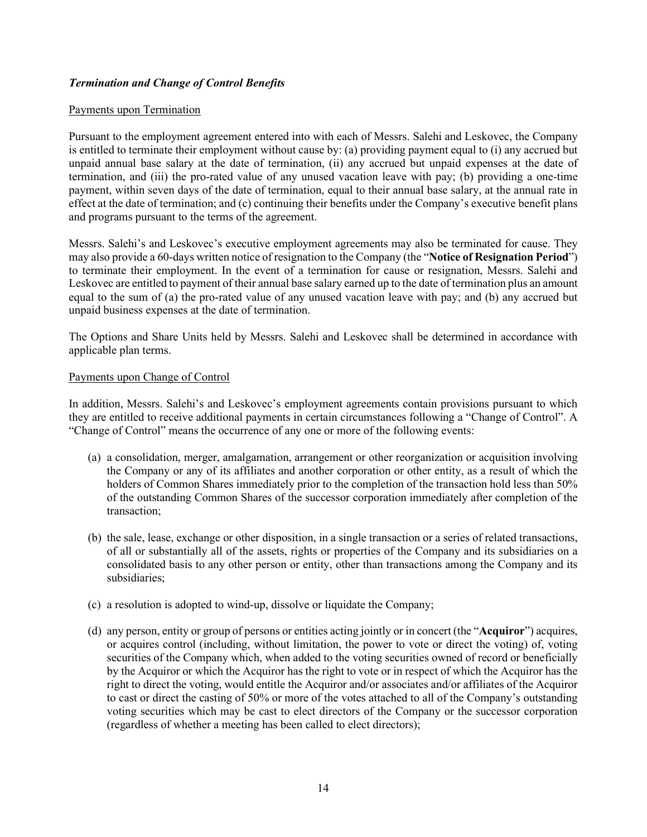# *Termination and Change of Control Benefits*

#### Payments upon Termination

Pursuant to the employment agreement entered into with each of Messrs. Salehi and Leskovec, the Company is entitled to terminate their employment without cause by: (a) providing payment equal to (i) any accrued but unpaid annual base salary at the date of termination, (ii) any accrued but unpaid expenses at the date of termination, and (iii) the pro-rated value of any unused vacation leave with pay; (b) providing a one-time payment, within seven days of the date of termination, equal to their annual base salary, at the annual rate in effect at the date of termination; and (c) continuing their benefits under the Company's executive benefit plans and programs pursuant to the terms of the agreement.

Messrs. Salehi's and Leskovec's executive employment agreements may also be terminated for cause. They may also provide a 60-days written notice of resignation to the Company (the "**Notice of Resignation Period**") to terminate their employment. In the event of a termination for cause or resignation, Messrs. Salehi and Leskovec are entitled to payment of their annual base salary earned up to the date of termination plus an amount equal to the sum of (a) the pro-rated value of any unused vacation leave with pay; and (b) any accrued but unpaid business expenses at the date of termination.

The Options and Share Units held by Messrs. Salehi and Leskovec shall be determined in accordance with applicable plan terms.

## Payments upon Change of Control

In addition, Messrs. Salehi's and Leskovec's employment agreements contain provisions pursuant to which they are entitled to receive additional payments in certain circumstances following a "Change of Control". A "Change of Control" means the occurrence of any one or more of the following events:

- (a) a consolidation, merger, amalgamation, arrangement or other reorganization or acquisition involving the Company or any of its affiliates and another corporation or other entity, as a result of which the holders of Common Shares immediately prior to the completion of the transaction hold less than 50% of the outstanding Common Shares of the successor corporation immediately after completion of the transaction;
- (b) the sale, lease, exchange or other disposition, in a single transaction or a series of related transactions, of all or substantially all of the assets, rights or properties of the Company and its subsidiaries on a consolidated basis to any other person or entity, other than transactions among the Company and its subsidiaries;
- (c) a resolution is adopted to wind-up, dissolve or liquidate the Company;
- (d) any person, entity or group of persons or entities acting jointly or in concert (the "**Acquiror**") acquires, or acquires control (including, without limitation, the power to vote or direct the voting) of, voting securities of the Company which, when added to the voting securities owned of record or beneficially by the Acquiror or which the Acquiror has the right to vote or in respect of which the Acquiror has the right to direct the voting, would entitle the Acquiror and/or associates and/or affiliates of the Acquiror to cast or direct the casting of 50% or more of the votes attached to all of the Company's outstanding voting securities which may be cast to elect directors of the Company or the successor corporation (regardless of whether a meeting has been called to elect directors);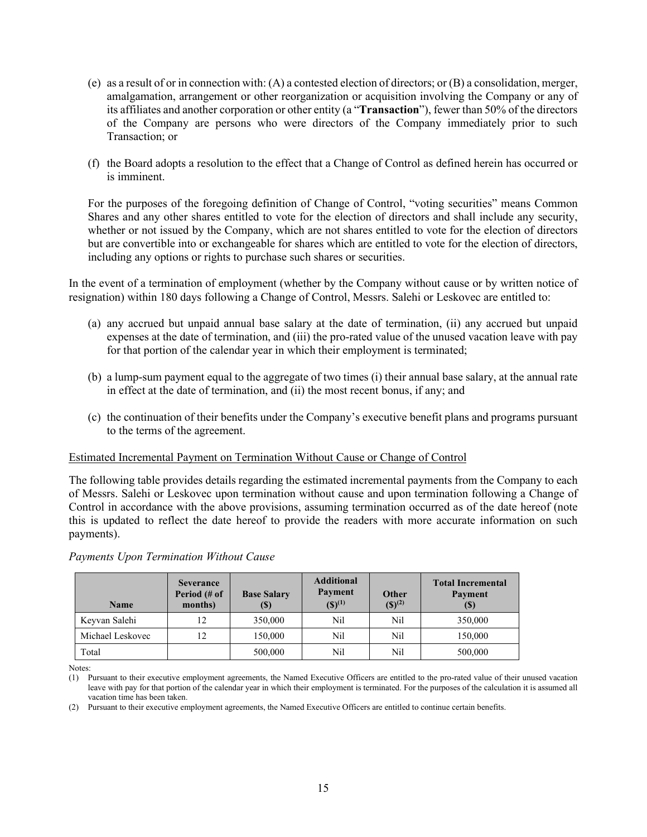- (e) as a result of or in connection with: (A) a contested election of directors; or (B) a consolidation, merger, amalgamation, arrangement or other reorganization or acquisition involving the Company or any of its affiliates and another corporation or other entity (a "**Transaction**"), fewer than 50% of the directors of the Company are persons who were directors of the Company immediately prior to such Transaction; or
- (f) the Board adopts a resolution to the effect that a Change of Control as defined herein has occurred or is imminent.

For the purposes of the foregoing definition of Change of Control, "voting securities" means Common Shares and any other shares entitled to vote for the election of directors and shall include any security, whether or not issued by the Company, which are not shares entitled to vote for the election of directors but are convertible into or exchangeable for shares which are entitled to vote for the election of directors, including any options or rights to purchase such shares or securities.

In the event of a termination of employment (whether by the Company without cause or by written notice of resignation) within 180 days following a Change of Control, Messrs. Salehi or Leskovec are entitled to:

- (a) any accrued but unpaid annual base salary at the date of termination, (ii) any accrued but unpaid expenses at the date of termination, and (iii) the pro-rated value of the unused vacation leave with pay for that portion of the calendar year in which their employment is terminated;
- (b) a lump-sum payment equal to the aggregate of two times (i) their annual base salary, at the annual rate in effect at the date of termination, and (ii) the most recent bonus, if any; and
- (c) the continuation of their benefits under the Company's executive benefit plans and programs pursuant to the terms of the agreement.

#### Estimated Incremental Payment on Termination Without Cause or Change of Control

The following table provides details regarding the estimated incremental payments from the Company to each of Messrs. Salehi or Leskovec upon termination without cause and upon termination following a Change of Control in accordance with the above provisions, assuming termination occurred as of the date hereof (note this is updated to reflect the date hereof to provide the readers with more accurate information on such payments).

#### *Payments Upon Termination Without Cause*

| <b>Name</b>      | <b>Severance</b><br>Period (# of<br>months) | <b>Base Salary</b><br>(\$) | <b>Additional</b><br>Payment<br>$({\bf S})^{(1)}$ | <b>Other</b><br>$({\mathbb{S}})^{(2)}$ | <b>Total Incremental</b><br>Payment<br><b>(S)</b> |
|------------------|---------------------------------------------|----------------------------|---------------------------------------------------|----------------------------------------|---------------------------------------------------|
| Keyvan Salehi    | 12                                          | 350,000                    | Nil                                               | Nil                                    | 350,000                                           |
| Michael Leskovec | 12                                          | 150,000                    | Nil                                               | Nil                                    | 150,000                                           |
| Total            |                                             | 500,000                    | Nil                                               | Nil                                    | 500,000                                           |

Notes:

(2) Pursuant to their executive employment agreements, the Named Executive Officers are entitled to continue certain benefits.

<sup>(1)</sup> Pursuant to their executive employment agreements, the Named Executive Officers are entitled to the pro-rated value of their unused vacation leave with pay for that portion of the calendar year in which their employment is terminated. For the purposes of the calculation it is assumed all vacation time has been taken.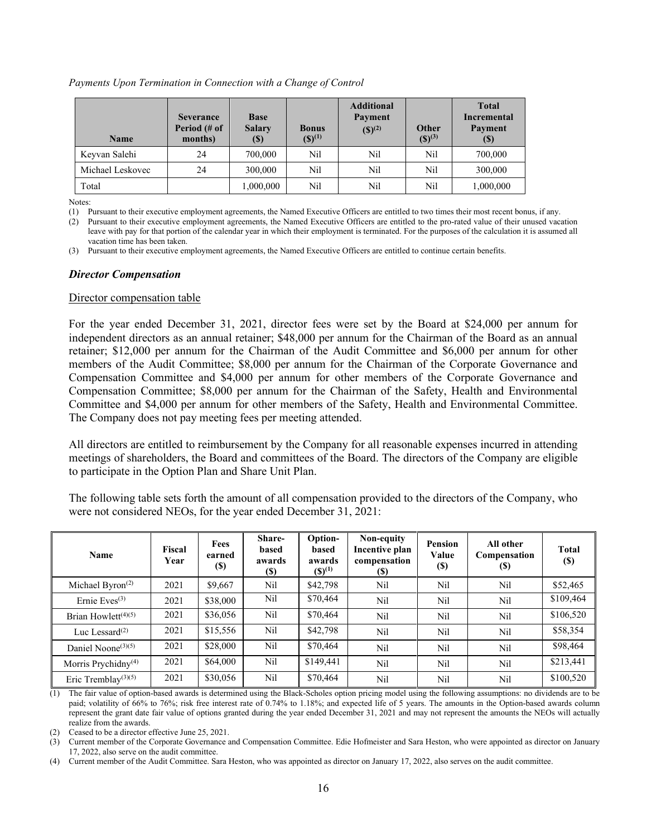*Payments Upon Termination in Connection with a Change of Control* 

| <b>Name</b>      | <b>Severance</b><br>Period (# of<br>months) | <b>Base</b><br><b>Salary</b><br>$\left( \mathbb{S}\right)$ | <b>Bonus</b><br>$({\bf S})^{(1)}$ | <b>Additional</b><br>Payment<br>$(S)^{(2)}$ | Other<br>$({\mathbb S})^{(3)}$ | <b>Total</b><br><b>Incremental</b><br>Payment<br>$\left( \mathbb{S}\right)$ |
|------------------|---------------------------------------------|------------------------------------------------------------|-----------------------------------|---------------------------------------------|--------------------------------|-----------------------------------------------------------------------------|
| Keyvan Salehi    | 24                                          | 700,000                                                    | Nil                               | Nil                                         | Nil                            | 700,000                                                                     |
| Michael Leskovec | 24                                          | 300,000                                                    | Nil                               | Nil                                         | Nil                            | 300,000                                                                     |
| Total            |                                             | 1,000,000                                                  | Nil                               | Nil                                         | Nil                            | 1,000,000                                                                   |

Notes:

(1) Pursuant to their executive employment agreements, the Named Executive Officers are entitled to two times their most recent bonus, if any.

(2) Pursuant to their executive employment agreements, the Named Executive Officers are entitled to the pro-rated value of their unused vacation leave with pay for that portion of the calendar year in which their employment is terminated. For the purposes of the calculation it is assumed all vacation time has been taken.

(3) Pursuant to their executive employment agreements, the Named Executive Officers are entitled to continue certain benefits.

#### *Director Compensation*

#### Director compensation table

For the year ended December 31, 2021, director fees were set by the Board at \$24,000 per annum for independent directors as an annual retainer; \$48,000 per annum for the Chairman of the Board as an annual retainer; \$12,000 per annum for the Chairman of the Audit Committee and \$6,000 per annum for other members of the Audit Committee; \$8,000 per annum for the Chairman of the Corporate Governance and Compensation Committee and \$4,000 per annum for other members of the Corporate Governance and Compensation Committee; \$8,000 per annum for the Chairman of the Safety, Health and Environmental Committee and \$4,000 per annum for other members of the Safety, Health and Environmental Committee. The Company does not pay meeting fees per meeting attended.

All directors are entitled to reimbursement by the Company for all reasonable expenses incurred in attending meetings of shareholders, the Board and committees of the Board. The directors of the Company are eligible to participate in the Option Plan and Share Unit Plan.

The following table sets forth the amount of all compensation provided to the directors of the Company, who were not considered NEOs, for the year ended December 31, 2021:

| Name                                         | Fiscal<br>Year | <b>Fees</b><br>earned<br>$(\$)$ | Share-<br>based<br>awards<br><b>(\$)</b> | Option-<br>based<br>awards<br>$(S)^{(1)}$ | Non-equity<br>Incentive plan<br>compensation<br>(S) | Pension<br>Value<br>$\left( \mathbb{S}\right)$ | All other<br>Compensation<br>(S) | <b>Total</b><br><b>(\$)</b> |
|----------------------------------------------|----------------|---------------------------------|------------------------------------------|-------------------------------------------|-----------------------------------------------------|------------------------------------------------|----------------------------------|-----------------------------|
| Michael Byron <sup><math>(2)</math></sup>    | 2021           | \$9,667                         | Nil                                      | \$42,798                                  | Nil                                                 | Nil                                            | Nil                              | \$52,465                    |
| Ernie Eves $(3)$                             | 2021           | \$38,000                        | Nil                                      | \$70,464                                  | Nil                                                 | Nil                                            | Nil                              | \$109,464                   |
| Brian Howlett <sup><math>(4)(5)</math></sup> | 2021           | \$36,056                        | Nil                                      | \$70,464                                  | Nil                                                 | Nil                                            | Nil                              | \$106,520                   |
| Luc Lessard $(2)$                            | 2021           | \$15,556                        | Nil                                      | \$42,798                                  | Nil                                                 | Nil                                            | Nil                              | \$58,354                    |
| Daniel Noone <sup>(3)(5)</sup>               | 2021           | \$28,000                        | Nil                                      | \$70,464                                  | Nil                                                 | Nil                                            | Nil                              | \$98,464                    |
| Morris Prychidny <sup>(4)</sup>              | 2021           | \$64,000                        | Nil                                      | \$149,441                                 | Nil                                                 | Nil                                            | Nil                              | \$213,441                   |
| Eric Tremblay <sup>(3)(5)</sup>              | 2021           | \$30,056                        | Nil                                      | \$70,464                                  | Nil                                                 | Nil                                            | Nil                              | \$100,520                   |

(1) The fair value of option-based awards is determined using the Black-Scholes option pricing model using the following assumptions: no dividends are to be paid; volatility of 66% to 76%; risk free interest rate of 0.74% to 1.18%; and expected life of 5 years. The amounts in the Option-based awards column represent the grant date fair value of options granted during the year ended December 31, 2021 and may not represent the amounts the NEOs will actually realize from the awards.

(2) Ceased to be a director effective June 25, 2021.

(3) Current member of the Corporate Governance and Compensation Committee. Edie Hofmeister and Sara Heston, who were appointed as director on January 17, 2022, also serve on the audit committee.

(4) Current member of the Audit Committee. Sara Heston, who was appointed as director on January 17, 2022, also serves on the audit committee.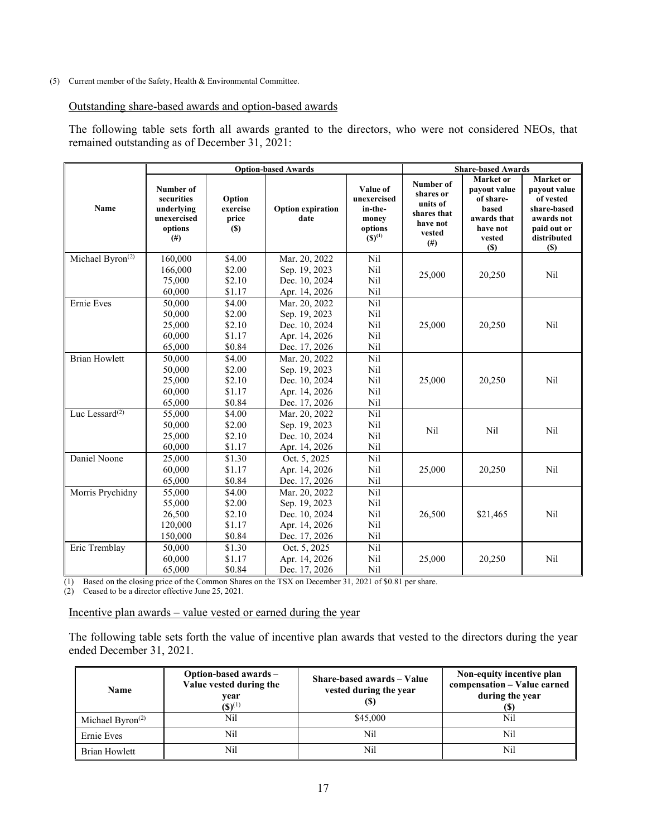#### (5) Current member of the Safety, Health & Environmental Committee.

#### Outstanding share-based awards and option-based awards

The following table sets forth all awards granted to the directors, who were not considered NEOs, that remained outstanding as of December 31, 2021:

|                              |                                                                        |                                            | <b>Option-based Awards</b>       |                                                                       |                                                                                     | <b>Share-based Awards</b>                                                                   |                                                                                                          |
|------------------------------|------------------------------------------------------------------------|--------------------------------------------|----------------------------------|-----------------------------------------------------------------------|-------------------------------------------------------------------------------------|---------------------------------------------------------------------------------------------|----------------------------------------------------------------------------------------------------------|
| Name                         | Number of<br>securities<br>underlying<br>unexercised<br>options<br>(#) | Option<br>exercise<br>price<br><b>(\$)</b> | <b>Option expiration</b><br>date | Value of<br>unexercised<br>in-the-<br>money<br>options<br>$(S)^{(1)}$ | Number of<br>shares or<br>units of<br>shares that<br>have not<br>vested<br>$^{(#)}$ | Market or<br>payout value<br>of share-<br>based<br>awards that<br>have not<br>vested<br>(S) | Market or<br>payout value<br>of vested<br>share-based<br>awards not<br>paid out or<br>distributed<br>(S) |
| Michael Byron <sup>(2)</sup> | 160,000                                                                | \$4.00                                     | Mar. 20, 2022                    | Nil                                                                   |                                                                                     |                                                                                             |                                                                                                          |
|                              | 166,000                                                                | \$2.00                                     | Sep. 19, 2023                    | Nil                                                                   |                                                                                     |                                                                                             |                                                                                                          |
|                              | 75,000                                                                 | \$2.10                                     | Dec. 10, 2024                    | Nil                                                                   | 25,000                                                                              | 20,250                                                                                      | Nil                                                                                                      |
|                              | 60,000                                                                 | \$1.17                                     | Apr. 14, 2026                    | Nil                                                                   |                                                                                     |                                                                                             |                                                                                                          |
| Ernie Eves                   | 50,000                                                                 | \$4.00                                     | Mar. 20, 2022                    | Nil                                                                   |                                                                                     |                                                                                             |                                                                                                          |
|                              | 50,000                                                                 | \$2.00                                     | Sep. 19, 2023                    | Nil                                                                   |                                                                                     |                                                                                             |                                                                                                          |
|                              | 25,000                                                                 | \$2.10                                     | Dec. 10, 2024                    | Nil                                                                   | 25,000                                                                              | 20,250                                                                                      | Nil                                                                                                      |
|                              | 60,000                                                                 | \$1.17                                     | Apr. 14, 2026                    | Nil                                                                   |                                                                                     |                                                                                             |                                                                                                          |
|                              | 65,000                                                                 | \$0.84                                     | Dec. 17, 2026                    | Nil                                                                   |                                                                                     |                                                                                             |                                                                                                          |
| <b>Brian Howlett</b>         | 50,000                                                                 | \$4.00                                     | Mar. 20, 2022                    | Nil                                                                   |                                                                                     |                                                                                             |                                                                                                          |
|                              | 50,000                                                                 | \$2.00                                     | Sep. 19, 2023                    | Nil                                                                   |                                                                                     |                                                                                             |                                                                                                          |
|                              | 25,000                                                                 | \$2.10                                     | Dec. 10, 2024                    | Nil                                                                   | 25,000                                                                              | 20,250                                                                                      | Nil                                                                                                      |
|                              | 60,000                                                                 | \$1.17                                     | Apr. 14, 2026                    | Nil                                                                   |                                                                                     |                                                                                             |                                                                                                          |
|                              | 65,000                                                                 | \$0.84                                     | Dec. 17, 2026                    | Nil                                                                   |                                                                                     |                                                                                             |                                                                                                          |
| Luc Lessard <sup>(2)</sup>   | 55,000                                                                 | \$4.00                                     | Mar. 20, 2022                    | Nil                                                                   |                                                                                     |                                                                                             |                                                                                                          |
|                              | 50,000                                                                 | \$2.00                                     | Sep. 19, 2023                    | Nil                                                                   | N <sub>i</sub> l                                                                    | Nil                                                                                         | Nil                                                                                                      |
|                              | 25,000                                                                 | \$2.10                                     | Dec. 10, 2024                    | Nil                                                                   |                                                                                     |                                                                                             |                                                                                                          |
|                              | 60,000                                                                 | \$1.17                                     | Apr. 14, 2026                    | Nil                                                                   |                                                                                     |                                                                                             |                                                                                                          |
| Daniel Noone                 | 25,000                                                                 | \$1.30                                     | Oct. 5, 2025                     | Nil                                                                   |                                                                                     |                                                                                             |                                                                                                          |
|                              | 60,000                                                                 | \$1.17                                     | Apr. 14, 2026                    | Nil                                                                   | 25,000                                                                              | 20,250                                                                                      | Nil                                                                                                      |
|                              | 65,000                                                                 | \$0.84                                     | Dec. 17, 2026                    | Nil                                                                   |                                                                                     |                                                                                             |                                                                                                          |
| Morris Prychidny             | 55,000                                                                 | \$4.00                                     | Mar. 20, 2022                    | Nil                                                                   |                                                                                     |                                                                                             |                                                                                                          |
|                              | 55,000                                                                 | \$2.00                                     | Sep. 19, 2023                    | Nil                                                                   |                                                                                     |                                                                                             |                                                                                                          |
|                              | 26,500                                                                 | \$2.10                                     | Dec. 10, 2024                    | Nil                                                                   | 26,500                                                                              | \$21,465                                                                                    | Nil                                                                                                      |
|                              | 120,000                                                                | \$1.17                                     | Apr. 14, 2026                    | Nil                                                                   |                                                                                     |                                                                                             |                                                                                                          |
|                              | 150,000                                                                | \$0.84                                     | Dec. 17, 2026                    | Nil                                                                   |                                                                                     |                                                                                             |                                                                                                          |
| Eric Tremblay                | 50,000                                                                 | \$1.30                                     | Oct. 5, 2025                     | Nil                                                                   |                                                                                     |                                                                                             |                                                                                                          |
|                              | 60,000                                                                 | \$1.17                                     | Apr. 14, 2026                    | Nil                                                                   | 25,000                                                                              | 20,250                                                                                      | Nil                                                                                                      |
|                              | 65,000                                                                 | \$0.84                                     | Dec. 17, 2026                    | Nil                                                                   |                                                                                     |                                                                                             |                                                                                                          |

(1) Based on the closing price of the Common Shares on the TSX on December 31, 2021 of \$0.81 per share.

(2) Ceased to be a director effective June 25, 2021.

Incentive plan awards – value vested or earned during the year

The following table sets forth the value of incentive plan awards that vested to the directors during the year ended December 31, 2021.

| <b>Name</b>         | Option-based awards -<br>Value vested during the<br>vear<br>$(S)^{(1)}$ | Share-based awards - Value<br>vested during the year<br>I٠D. | Non-equity incentive plan<br>compensation - Value earned<br>during the year |
|---------------------|-------------------------------------------------------------------------|--------------------------------------------------------------|-----------------------------------------------------------------------------|
| Michael Byron $(2)$ | Nil                                                                     | \$45,000                                                     | Nil                                                                         |
| Ernie Eves          | Nil                                                                     | Nil                                                          | Nil                                                                         |
| Brian Howlett       | Nil                                                                     | Nil                                                          | Nil                                                                         |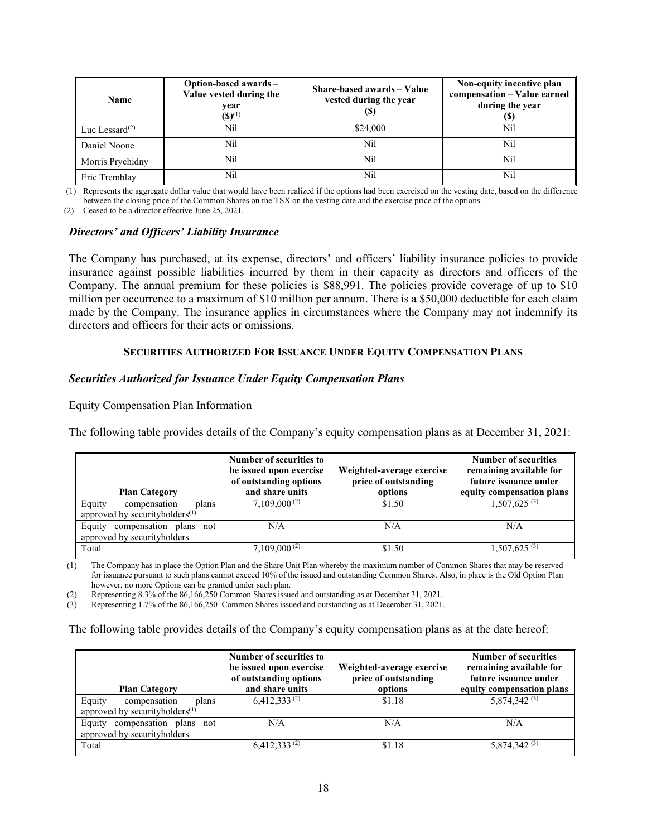| <b>Name</b>       | Option-based awards -<br>Value vested during the<br>year<br>$({\bf S})^{(1)}$ | Share-based awards - Value<br>vested during the year<br>(\$) | Non-equity incentive plan<br>compensation - Value earned<br>during the year<br>(S) |
|-------------------|-------------------------------------------------------------------------------|--------------------------------------------------------------|------------------------------------------------------------------------------------|
| Luc Lessard $(2)$ | Nil                                                                           | \$24,000                                                     | Nil                                                                                |
| Daniel Noone      | Nil                                                                           | Nil                                                          | Nil                                                                                |
| Morris Prychidny  | Nil                                                                           | Nil                                                          | Nil                                                                                |
| Eric Tremblay     | Nil                                                                           | Nil                                                          | Nil                                                                                |

(1) Represents the aggregate dollar value that would have been realized if the options had been exercised on the vesting date, based on the difference between the closing price of the Common Shares on the TSX on the vesting date and the exercise price of the options.

(2) Ceased to be a director effective June 25, 2021.

#### *Directors' and Officers' Liability Insurance*

The Company has purchased, at its expense, directors' and officers' liability insurance policies to provide insurance against possible liabilities incurred by them in their capacity as directors and officers of the Company. The annual premium for these policies is \$88,991. The policies provide coverage of up to \$10 million per occurrence to a maximum of \$10 million per annum. There is a \$50,000 deductible for each claim made by the Company. The insurance applies in circumstances where the Company may not indemnify its directors and officers for their acts or omissions.

## **SECURITIES AUTHORIZED FOR ISSUANCE UNDER EQUITY COMPENSATION PLANS**

#### *Securities Authorized for Issuance Under Equity Compensation Plans*

#### Equity Compensation Plan Information

The following table provides details of the Company's equity compensation plans as at December 31, 2021:

| <b>Plan Category</b>                                                  | Number of securities to<br>be issued upon exercise<br>of outstanding options<br>and share units | Weighted-average exercise<br>price of outstanding<br>options | <b>Number of securities</b><br>remaining available for<br>future issuance under<br>equity compensation plans |
|-----------------------------------------------------------------------|-------------------------------------------------------------------------------------------------|--------------------------------------------------------------|--------------------------------------------------------------------------------------------------------------|
| Equity<br>compensation<br>plans<br>approved by security holders $(1)$ | $7.109,000^{(2)}$                                                                               | \$1.50                                                       | $1,507,625^{(3)}$                                                                                            |
| compensation plans not<br>Equity<br>approved by securityholders       | N/A                                                                                             | N/A                                                          | N/A                                                                                                          |
| Total                                                                 | $7,109,000^{(2)}$                                                                               | \$1.50                                                       | $1,507,625^{(3)}$                                                                                            |

(1) The Company has in place the Option Plan and the Share Unit Plan whereby the maximum number of Common Shares that may be reserved for issuance pursuant to such plans cannot exceed 10% of the issued and outstanding Common Shares. Also, in place is the Old Option Plan however, no more Options can be granted under such plan.

(2) Representing 8.3% of the 86,166,250 Common Shares issued and outstanding as at December 31, 2021.

(3) Representing 1.7% of the 86,166,250 Common Shares issued and outstanding as at December 31, 2021.

The following table provides details of the Company's equity compensation plans as at the date hereof:

| <b>Plan Category</b>                                                     | Number of securities to<br>be issued upon exercise<br>of outstanding options<br>and share units | Weighted-average exercise<br>price of outstanding<br>options | <b>Number of securities</b><br>remaining available for<br>future issuance under<br>equity compensation plans |
|--------------------------------------------------------------------------|-------------------------------------------------------------------------------------------------|--------------------------------------------------------------|--------------------------------------------------------------------------------------------------------------|
| Equity<br>compensation<br>plans<br>approved by security holders $^{(1)}$ | $6,412,333^{(2)}$                                                                               | \$1.18                                                       | 5,874,342 <sup>(3)</sup>                                                                                     |
| compensation plans not<br>Equity<br>approved by securityholders          | N/A                                                                                             | N/A                                                          | N/A                                                                                                          |
| Total                                                                    | $6,412,333^{(2)}$                                                                               | \$1.18                                                       | $5,874,342$ <sup>(3)</sup>                                                                                   |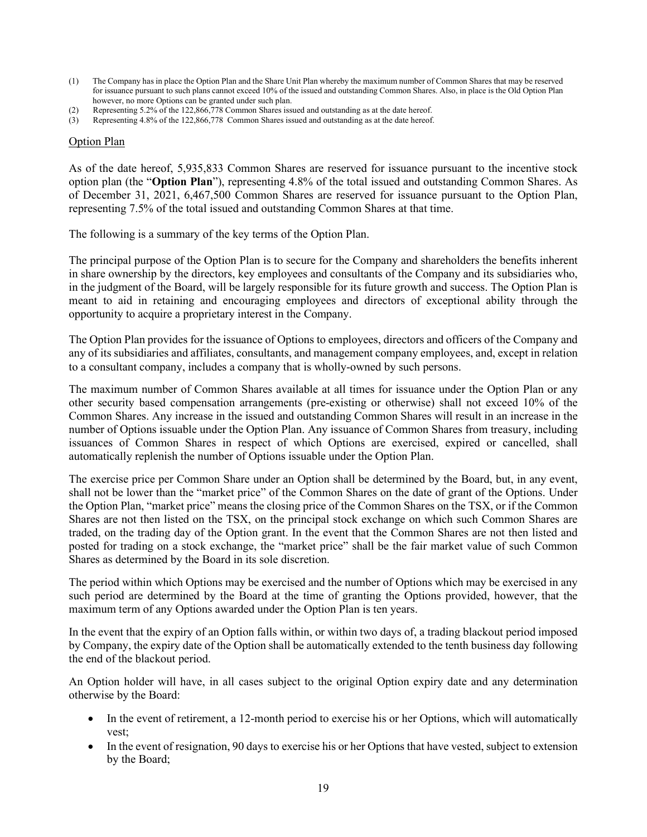- (1) The Company has in place the Option Plan and the Share Unit Plan whereby the maximum number of Common Shares that may be reserved for issuance pursuant to such plans cannot exceed 10% of the issued and outstanding Common Shares. Also, in place is the Old Option Plan however, no more Options can be granted under such plan.
- (2) Representing 5.2% of the 122,866,778 Common Shares issued and outstanding as at the date hereof.
- Representing 4.8% of the 122,866,778 Common Shares issued and outstanding as at the date hereof.

#### Option Plan

As of the date hereof, 5,935,833 Common Shares are reserved for issuance pursuant to the incentive stock option plan (the "**Option Plan**"), representing 4.8% of the total issued and outstanding Common Shares. As of December 31, 2021, 6,467,500 Common Shares are reserved for issuance pursuant to the Option Plan, representing 7.5% of the total issued and outstanding Common Shares at that time.

The following is a summary of the key terms of the Option Plan.

The principal purpose of the Option Plan is to secure for the Company and shareholders the benefits inherent in share ownership by the directors, key employees and consultants of the Company and its subsidiaries who, in the judgment of the Board, will be largely responsible for its future growth and success. The Option Plan is meant to aid in retaining and encouraging employees and directors of exceptional ability through the opportunity to acquire a proprietary interest in the Company.

The Option Plan provides for the issuance of Options to employees, directors and officers of the Company and any of its subsidiaries and affiliates, consultants, and management company employees, and, except in relation to a consultant company, includes a company that is wholly-owned by such persons.

The maximum number of Common Shares available at all times for issuance under the Option Plan or any other security based compensation arrangements (pre-existing or otherwise) shall not exceed 10% of the Common Shares. Any increase in the issued and outstanding Common Shares will result in an increase in the number of Options issuable under the Option Plan. Any issuance of Common Shares from treasury, including issuances of Common Shares in respect of which Options are exercised, expired or cancelled, shall automatically replenish the number of Options issuable under the Option Plan.

The exercise price per Common Share under an Option shall be determined by the Board, but, in any event, shall not be lower than the "market price" of the Common Shares on the date of grant of the Options. Under the Option Plan, "market price" means the closing price of the Common Shares on the TSX, or if the Common Shares are not then listed on the TSX, on the principal stock exchange on which such Common Shares are traded, on the trading day of the Option grant. In the event that the Common Shares are not then listed and posted for trading on a stock exchange, the "market price" shall be the fair market value of such Common Shares as determined by the Board in its sole discretion.

The period within which Options may be exercised and the number of Options which may be exercised in any such period are determined by the Board at the time of granting the Options provided, however, that the maximum term of any Options awarded under the Option Plan is ten years.

In the event that the expiry of an Option falls within, or within two days of, a trading blackout period imposed by Company, the expiry date of the Option shall be automatically extended to the tenth business day following the end of the blackout period.

An Option holder will have, in all cases subject to the original Option expiry date and any determination otherwise by the Board:

- In the event of retirement, a 12-month period to exercise his or her Options, which will automatically vest;
- In the event of resignation, 90 days to exercise his or her Options that have vested, subject to extension by the Board;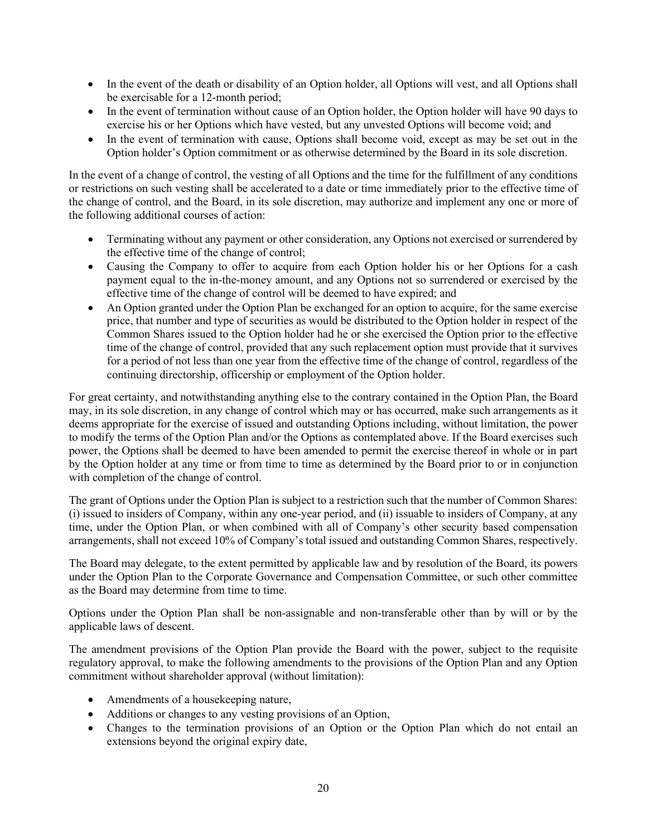- In the event of the death or disability of an Option holder, all Options will vest, and all Options shall be exercisable for a 12-month period;
- In the event of termination without cause of an Option holder, the Option holder will have 90 days to exercise his or her Options which have vested, but any unvested Options will become void; and
- In the event of termination with cause, Options shall become void, except as may be set out in the Option holder's Option commitment or as otherwise determined by the Board in its sole discretion.

In the event of a change of control, the vesting of all Options and the time for the fulfillment of any conditions or restrictions on such vesting shall be accelerated to a date or time immediately prior to the effective time of the change of control, and the Board, in its sole discretion, may authorize and implement any one or more of the following additional courses of action:

- Terminating without any payment or other consideration, any Options not exercised or surrendered by the effective time of the change of control;
- Causing the Company to offer to acquire from each Option holder his or her Options for a cash payment equal to the in-the-money amount, and any Options not so surrendered or exercised by the effective time of the change of control will be deemed to have expired; and
- An Option granted under the Option Plan be exchanged for an option to acquire, for the same exercise price, that number and type of securities as would be distributed to the Option holder in respect of the Common Shares issued to the Option holder had he or she exercised the Option prior to the effective time of the change of control, provided that any such replacement option must provide that it survives for a period of not less than one year from the effective time of the change of control, regardless of the continuing directorship, officership or employment of the Option holder.

For great certainty, and notwithstanding anything else to the contrary contained in the Option Plan, the Board may, in its sole discretion, in any change of control which may or has occurred, make such arrangements as it deems appropriate for the exercise of issued and outstanding Options including, without limitation, the power to modify the terms of the Option Plan and/or the Options as contemplated above. If the Board exercises such power, the Options shall be deemed to have been amended to permit the exercise thereof in whole or in part by the Option holder at any time or from time to time as determined by the Board prior to or in conjunction with completion of the change of control.

The grant of Options under the Option Plan is subject to a restriction such that the number of Common Shares: (i) issued to insiders of Company, within any one-year period, and (ii) issuable to insiders of Company, at any time, under the Option Plan, or when combined with all of Company's other security based compensation arrangements, shall not exceed 10% of Company's total issued and outstanding Common Shares, respectively.

The Board may delegate, to the extent permitted by applicable law and by resolution of the Board, its powers under the Option Plan to the Corporate Governance and Compensation Committee, or such other committee as the Board may determine from time to time.

Options under the Option Plan shall be non-assignable and non-transferable other than by will or by the applicable laws of descent.

The amendment provisions of the Option Plan provide the Board with the power, subject to the requisite regulatory approval, to make the following amendments to the provisions of the Option Plan and any Option commitment without shareholder approval (without limitation):

- Amendments of a house keeping nature,
- Additions or changes to any vesting provisions of an Option,
- Changes to the termination provisions of an Option or the Option Plan which do not entail an extensions beyond the original expiry date,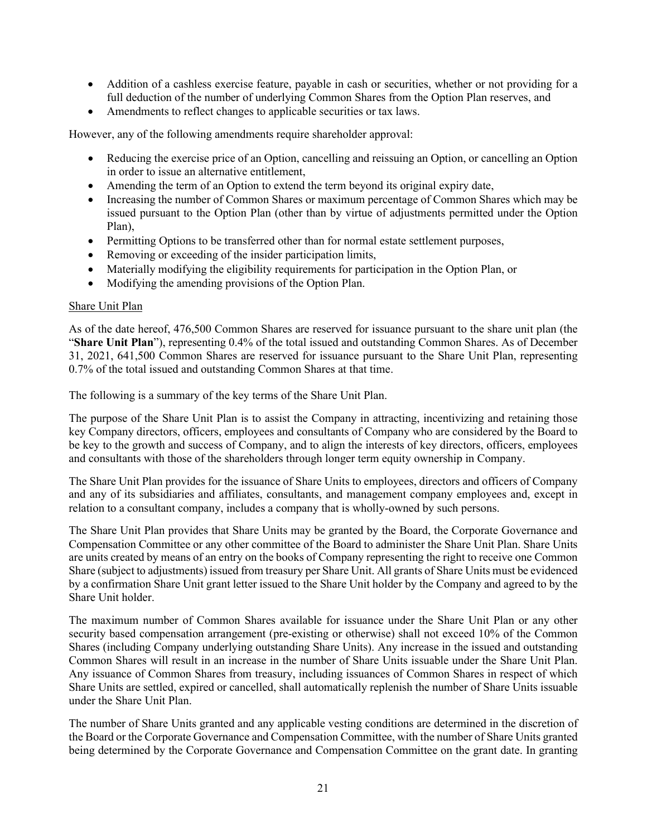- Addition of a cashless exercise feature, payable in cash or securities, whether or not providing for a full deduction of the number of underlying Common Shares from the Option Plan reserves, and
- Amendments to reflect changes to applicable securities or tax laws.

However, any of the following amendments require shareholder approval:

- Reducing the exercise price of an Option, cancelling and reissuing an Option, or cancelling an Option in order to issue an alternative entitlement,
- Amending the term of an Option to extend the term beyond its original expiry date,
- Increasing the number of Common Shares or maximum percentage of Common Shares which may be issued pursuant to the Option Plan (other than by virtue of adjustments permitted under the Option Plan),
- Permitting Options to be transferred other than for normal estate settlement purposes,
- Removing or exceeding of the insider participation limits,
- Materially modifying the eligibility requirements for participation in the Option Plan, or
- Modifying the amending provisions of the Option Plan.

## Share Unit Plan

As of the date hereof, 476,500 Common Shares are reserved for issuance pursuant to the share unit plan (the "**Share Unit Plan**"), representing 0.4% of the total issued and outstanding Common Shares. As of December 31, 2021, 641,500 Common Shares are reserved for issuance pursuant to the Share Unit Plan, representing 0.7% of the total issued and outstanding Common Shares at that time.

The following is a summary of the key terms of the Share Unit Plan.

The purpose of the Share Unit Plan is to assist the Company in attracting, incentivizing and retaining those key Company directors, officers, employees and consultants of Company who are considered by the Board to be key to the growth and success of Company, and to align the interests of key directors, officers, employees and consultants with those of the shareholders through longer term equity ownership in Company.

The Share Unit Plan provides for the issuance of Share Units to employees, directors and officers of Company and any of its subsidiaries and affiliates, consultants, and management company employees and, except in relation to a consultant company, includes a company that is wholly-owned by such persons.

The Share Unit Plan provides that Share Units may be granted by the Board, the Corporate Governance and Compensation Committee or any other committee of the Board to administer the Share Unit Plan. Share Units are units created by means of an entry on the books of Company representing the right to receive one Common Share (subject to adjustments) issued from treasury per Share Unit. All grants of Share Units must be evidenced by a confirmation Share Unit grant letter issued to the Share Unit holder by the Company and agreed to by the Share Unit holder.

The maximum number of Common Shares available for issuance under the Share Unit Plan or any other security based compensation arrangement (pre-existing or otherwise) shall not exceed 10% of the Common Shares (including Company underlying outstanding Share Units). Any increase in the issued and outstanding Common Shares will result in an increase in the number of Share Units issuable under the Share Unit Plan. Any issuance of Common Shares from treasury, including issuances of Common Shares in respect of which Share Units are settled, expired or cancelled, shall automatically replenish the number of Share Units issuable under the Share Unit Plan.

The number of Share Units granted and any applicable vesting conditions are determined in the discretion of the Board or the Corporate Governance and Compensation Committee, with the number of Share Units granted being determined by the Corporate Governance and Compensation Committee on the grant date. In granting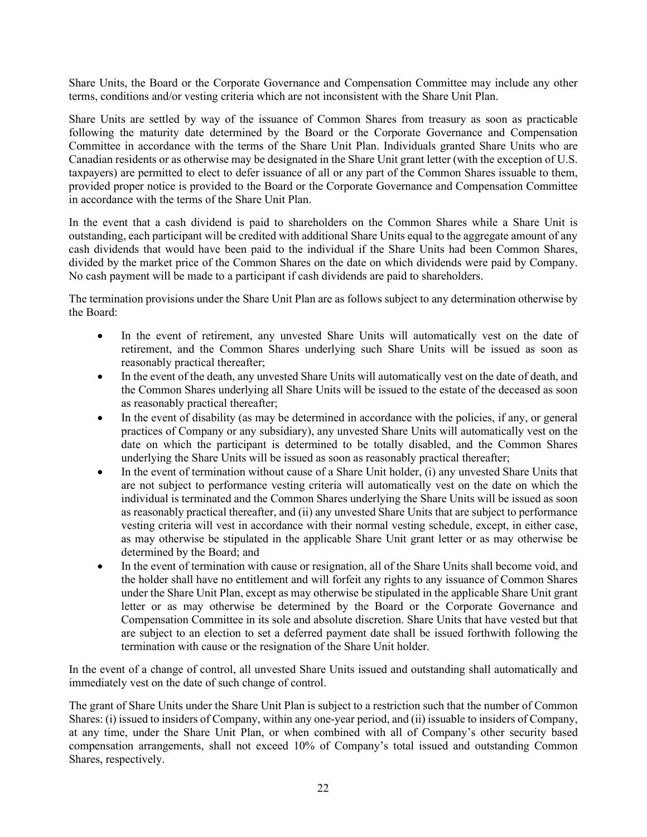Share Units, the Board or the Corporate Governance and Compensation Committee may include any other terms, conditions and/or vesting criteria which are not inconsistent with the Share Unit Plan.

Share Units are settled by way of the issuance of Common Shares from treasury as soon as practicable following the maturity date determined by the Board or the Corporate Governance and Compensation Committee in accordance with the terms of the Share Unit Plan. Individuals granted Share Units who are Canadian residents or as otherwise may be designated in the Share Unit grant letter (with the exception of U.S. taxpayers) are permitted to elect to defer issuance of all or any part of the Common Shares issuable to them, provided proper notice is provided to the Board or the Corporate Governance and Compensation Committee in accordance with the terms of the Share Unit Plan.

In the event that a cash dividend is paid to shareholders on the Common Shares while a Share Unit is outstanding, each participant will be credited with additional Share Units equal to the aggregate amount of any cash dividends that would have been paid to the individual if the Share Units had been Common Shares, divided by the market price of the Common Shares on the date on which dividends were paid by Company. No cash payment will be made to a participant if cash dividends are paid to shareholders.

The termination provisions under the Share Unit Plan are as follows subject to any determination otherwise by the Board:

- In the event of retirement, any unvested Share Units will automatically vest on the date of retirement, and the Common Shares underlying such Share Units will be issued as soon as reasonably practical thereafter;
- In the event of the death, any unvested Share Units will automatically vest on the date of death, and the Common Shares underlying all Share Units will be issued to the estate of the deceased as soon as reasonably practical thereafter;
- In the event of disability (as may be determined in accordance with the policies, if any, or general practices of Company or any subsidiary), any unvested Share Units will automatically vest on the date on which the participant is determined to be totally disabled, and the Common Shares underlying the Share Units will be issued as soon as reasonably practical thereafter;
- In the event of termination without cause of a Share Unit holder, (i) any unvested Share Units that are not subject to performance vesting criteria will automatically vest on the date on which the individual is terminated and the Common Shares underlying the Share Units will be issued as soon as reasonably practical thereafter, and (ii) any unvested Share Units that are subject to performance vesting criteria will vest in accordance with their normal vesting schedule, except, in either case, as may otherwise be stipulated in the applicable Share Unit grant letter or as may otherwise be determined by the Board; and
- In the event of termination with cause or resignation, all of the Share Units shall become void, and the holder shall have no entitlement and will forfeit any rights to any issuance of Common Shares under the Share Unit Plan, except as may otherwise be stipulated in the applicable Share Unit grant letter or as may otherwise be determined by the Board or the Corporate Governance and Compensation Committee in its sole and absolute discretion. Share Units that have vested but that are subject to an election to set a deferred payment date shall be issued forthwith following the termination with cause or the resignation of the Share Unit holder.

In the event of a change of control, all unvested Share Units issued and outstanding shall automatically and immediately vest on the date of such change of control.

The grant of Share Units under the Share Unit Plan is subject to a restriction such that the number of Common Shares: (i) issued to insiders of Company, within any one-year period, and (ii) issuable to insiders of Company, at any time, under the Share Unit Plan, or when combined with all of Company's other security based compensation arrangements, shall not exceed 10% of Company's total issued and outstanding Common Shares, respectively.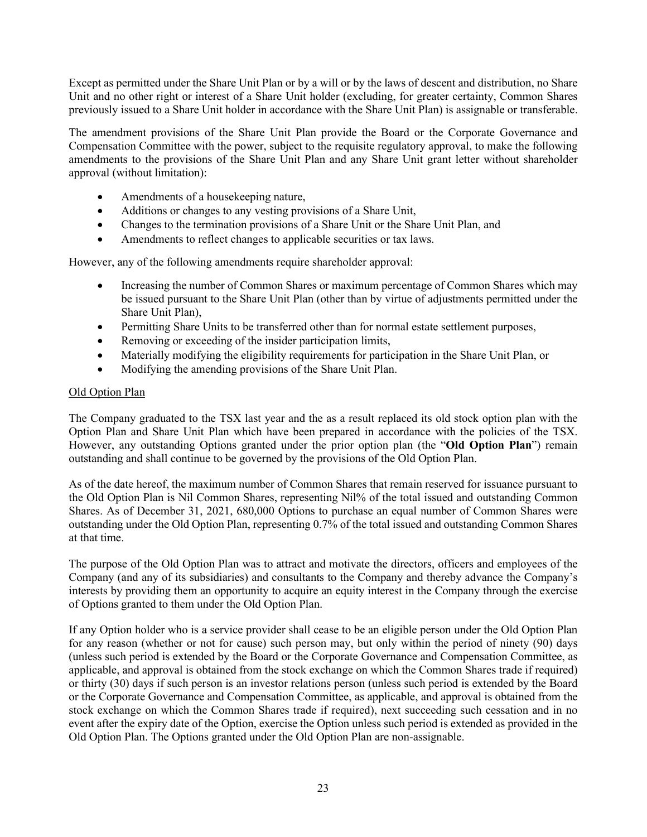Except as permitted under the Share Unit Plan or by a will or by the laws of descent and distribution, no Share Unit and no other right or interest of a Share Unit holder (excluding, for greater certainty, Common Shares previously issued to a Share Unit holder in accordance with the Share Unit Plan) is assignable or transferable.

The amendment provisions of the Share Unit Plan provide the Board or the Corporate Governance and Compensation Committee with the power, subject to the requisite regulatory approval, to make the following amendments to the provisions of the Share Unit Plan and any Share Unit grant letter without shareholder approval (without limitation):

- Amendments of a housekeeping nature,
- Additions or changes to any vesting provisions of a Share Unit,
- Changes to the termination provisions of a Share Unit or the Share Unit Plan, and
- Amendments to reflect changes to applicable securities or tax laws.

However, any of the following amendments require shareholder approval:

- Increasing the number of Common Shares or maximum percentage of Common Shares which may be issued pursuant to the Share Unit Plan (other than by virtue of adjustments permitted under the Share Unit Plan),
- Permitting Share Units to be transferred other than for normal estate settlement purposes,
- Removing or exceeding of the insider participation limits,
- Materially modifying the eligibility requirements for participation in the Share Unit Plan, or
- Modifying the amending provisions of the Share Unit Plan.

## Old Option Plan

The Company graduated to the TSX last year and the as a result replaced its old stock option plan with the Option Plan and Share Unit Plan which have been prepared in accordance with the policies of the TSX. However, any outstanding Options granted under the prior option plan (the "**Old Option Plan**") remain outstanding and shall continue to be governed by the provisions of the Old Option Plan.

As of the date hereof, the maximum number of Common Shares that remain reserved for issuance pursuant to the Old Option Plan is Nil Common Shares, representing Nil% of the total issued and outstanding Common Shares. As of December 31, 2021, 680,000 Options to purchase an equal number of Common Shares were outstanding under the Old Option Plan, representing 0.7% of the total issued and outstanding Common Shares at that time.

The purpose of the Old Option Plan was to attract and motivate the directors, officers and employees of the Company (and any of its subsidiaries) and consultants to the Company and thereby advance the Company's interests by providing them an opportunity to acquire an equity interest in the Company through the exercise of Options granted to them under the Old Option Plan.

If any Option holder who is a service provider shall cease to be an eligible person under the Old Option Plan for any reason (whether or not for cause) such person may, but only within the period of ninety (90) days (unless such period is extended by the Board or the Corporate Governance and Compensation Committee, as applicable, and approval is obtained from the stock exchange on which the Common Shares trade if required) or thirty (30) days if such person is an investor relations person (unless such period is extended by the Board or the Corporate Governance and Compensation Committee, as applicable, and approval is obtained from the stock exchange on which the Common Shares trade if required), next succeeding such cessation and in no event after the expiry date of the Option, exercise the Option unless such period is extended as provided in the Old Option Plan. The Options granted under the Old Option Plan are non-assignable.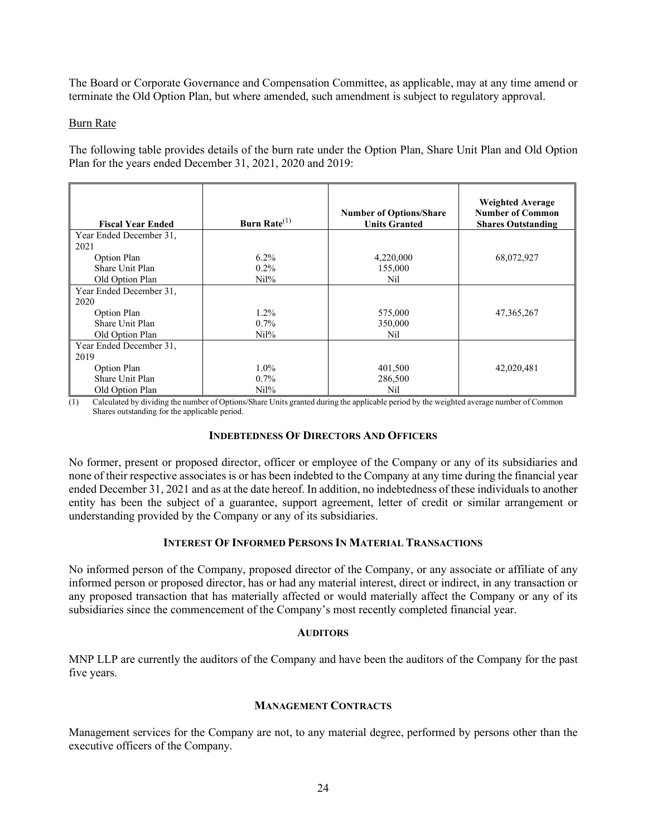The Board or Corporate Governance and Compensation Committee, as applicable, may at any time amend or terminate the Old Option Plan, but where amended, such amendment is subject to regulatory approval.

#### Burn Rate

The following table provides details of the burn rate under the Option Plan, Share Unit Plan and Old Option Plan for the years ended December 31, 2021, 2020 and 2019:

| <b>Fiscal Year Ended</b> | Burn Rate <sup>(1)</sup> | <b>Number of Options/Share</b><br><b>Units Granted</b> | <b>Weighted Average</b><br><b>Number of Common</b><br><b>Shares Outstanding</b> |
|--------------------------|--------------------------|--------------------------------------------------------|---------------------------------------------------------------------------------|
| Year Ended December 31,  |                          |                                                        |                                                                                 |
| 2021                     |                          |                                                        |                                                                                 |
| Option Plan              | $6.2\%$                  | 4,220,000                                              | 68,072,927                                                                      |
| Share Unit Plan          | $0.2\%$                  | 155,000                                                |                                                                                 |
| Old Option Plan          | $Ni1\%$                  | Nil                                                    |                                                                                 |
| Year Ended December 31,  |                          |                                                        |                                                                                 |
| 2020                     |                          |                                                        |                                                                                 |
| Option Plan              | $1.2\%$                  | 575,000                                                | 47, 365, 267                                                                    |
| Share Unit Plan          | $0.7\%$                  | 350,000                                                |                                                                                 |
| Old Option Plan          | $Ni1\%$                  | Nil                                                    |                                                                                 |
| Year Ended December 31,  |                          |                                                        |                                                                                 |
| 2019                     |                          |                                                        |                                                                                 |
| Option Plan              | $1.0\%$                  | 401,500                                                | 42,020,481                                                                      |
| Share Unit Plan          | $0.7\%$                  | 286,500                                                |                                                                                 |
| Old Option Plan          | $Ni1\%$                  | Nil                                                    |                                                                                 |

(1) Calculated by dividing the number of Options/Share Units granted during the applicable period by the weighted average number of Common Shares outstanding for the applicable period.

#### **INDEBTEDNESS OF DIRECTORS AND OFFICERS**

No former, present or proposed director, officer or employee of the Company or any of its subsidiaries and none of their respective associates is or has been indebted to the Company at any time during the financial year ended December 31, 2021 and as at the date hereof. In addition, no indebtedness of these individuals to another entity has been the subject of a guarantee, support agreement, letter of credit or similar arrangement or understanding provided by the Company or any of its subsidiaries.

## **INTEREST OF INFORMED PERSONS IN MATERIAL TRANSACTIONS**

No informed person of the Company, proposed director of the Company, or any associate or affiliate of any informed person or proposed director, has or had any material interest, direct or indirect, in any transaction or any proposed transaction that has materially affected or would materially affect the Company or any of its subsidiaries since the commencement of the Company's most recently completed financial year.

#### **AUDITORS**

MNP LLP are currently the auditors of the Company and have been the auditors of the Company for the past five years.

#### **MANAGEMENT CONTRACTS**

Management services for the Company are not, to any material degree, performed by persons other than the executive officers of the Company.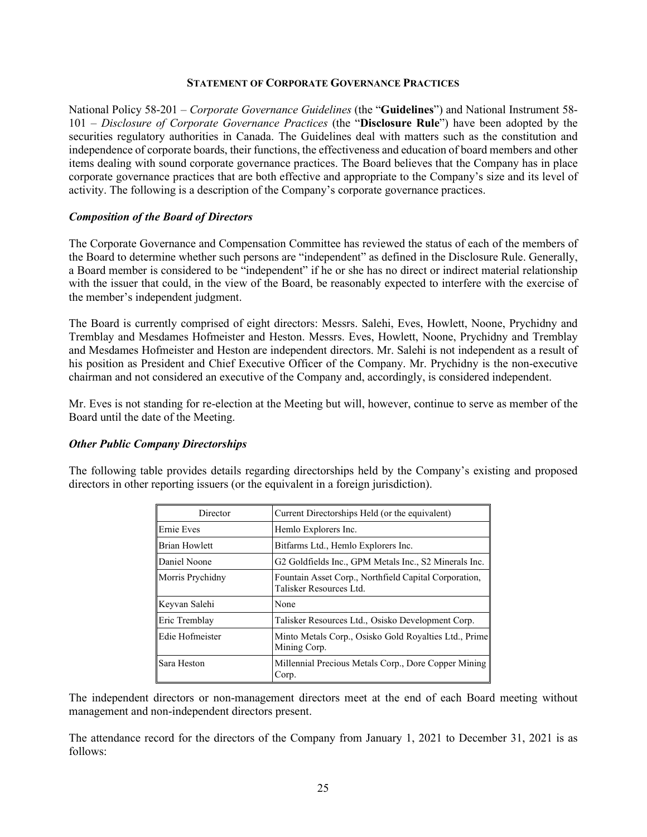#### **STATEMENT OF CORPORATE GOVERNANCE PRACTICES**

National Policy 58-201 – *Corporate Governance Guidelines* (the "**Guidelines**") and National Instrument 58- 101 – *Disclosure of Corporate Governance Practices* (the "**Disclosure Rule**") have been adopted by the securities regulatory authorities in Canada. The Guidelines deal with matters such as the constitution and independence of corporate boards, their functions, the effectiveness and education of board members and other items dealing with sound corporate governance practices. The Board believes that the Company has in place corporate governance practices that are both effective and appropriate to the Company's size and its level of activity. The following is a description of the Company's corporate governance practices.

#### *Composition of the Board of Directors*

The Corporate Governance and Compensation Committee has reviewed the status of each of the members of the Board to determine whether such persons are "independent" as defined in the Disclosure Rule. Generally, a Board member is considered to be "independent" if he or she has no direct or indirect material relationship with the issuer that could, in the view of the Board, be reasonably expected to interfere with the exercise of the member's independent judgment.

The Board is currently comprised of eight directors: Messrs. Salehi, Eves, Howlett, Noone, Prychidny and Tremblay and Mesdames Hofmeister and Heston. Messrs. Eves, Howlett, Noone, Prychidny and Tremblay and Mesdames Hofmeister and Heston are independent directors. Mr. Salehi is not independent as a result of his position as President and Chief Executive Officer of the Company. Mr. Prychidny is the non-executive chairman and not considered an executive of the Company and, accordingly, is considered independent.

Mr. Eves is not standing for re-election at the Meeting but will, however, continue to serve as member of the Board until the date of the Meeting.

#### *Other Public Company Directorships*

The following table provides details regarding directorships held by the Company's existing and proposed directors in other reporting issuers (or the equivalent in a foreign jurisdiction).

| Director             | Current Directorships Held (or the equivalent)                                   |
|----------------------|----------------------------------------------------------------------------------|
| Ernie Eves           | Hemlo Explorers Inc.                                                             |
| <b>Brian Howlett</b> | Bitfarms Ltd., Hemlo Explorers Inc.                                              |
| Daniel Noone         | G2 Goldfields Inc., GPM Metals Inc., S2 Minerals Inc.                            |
| Morris Prychidny     | Fountain Asset Corp., Northfield Capital Corporation,<br>Talisker Resources Ltd. |
| Keyvan Salehi        | None                                                                             |
| Eric Tremblay        | Talisker Resources Ltd., Osisko Development Corp.                                |
| Edie Hofmeister      | Minto Metals Corp., Osisko Gold Royalties Ltd., Prime<br>Mining Corp.            |
| Sara Heston          | Millennial Precious Metals Corp., Dore Copper Mining<br>Corp.                    |

The independent directors or non-management directors meet at the end of each Board meeting without management and non-independent directors present.

The attendance record for the directors of the Company from January 1, 2021 to December 31, 2021 is as follows: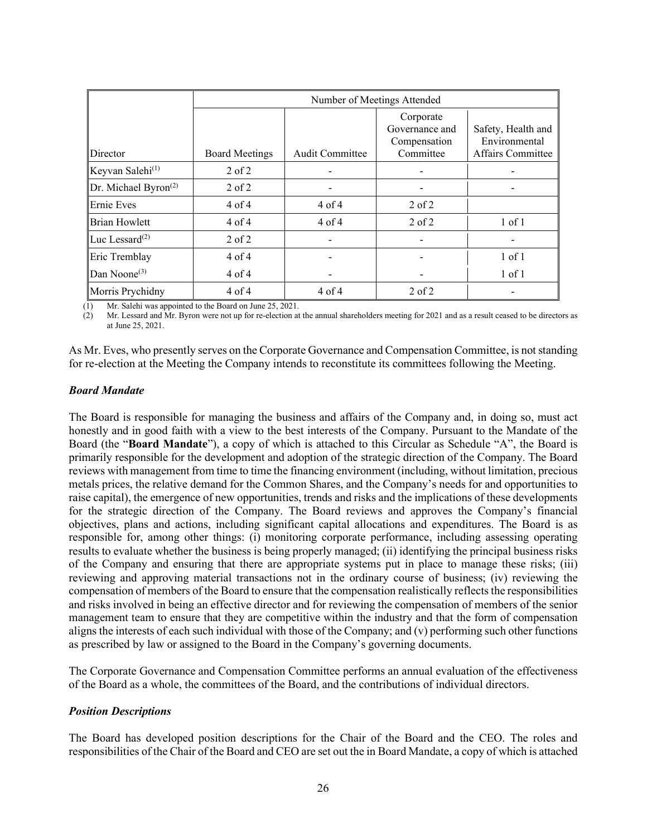|                                              | Number of Meetings Attended |                 |                                                          |                                                          |
|----------------------------------------------|-----------------------------|-----------------|----------------------------------------------------------|----------------------------------------------------------|
| Director                                     | <b>Board Meetings</b>       | Audit Committee | Corporate<br>Governance and<br>Compensation<br>Committee | Safety, Health and<br>Environmental<br>Affairs Committee |
| Keyvan Salehi <sup>(1)</sup>                 | $2$ of $2$                  |                 |                                                          |                                                          |
| $\mathbb{D}$ r. Michael Byron <sup>(2)</sup> | $2$ of $2$                  |                 |                                                          |                                                          |
| <b>Ernie Eves</b>                            | $4$ of $4$                  | $4$ of $4$      | $2$ of $2$                                               |                                                          |
| <b>Brian Howlett</b>                         | $4$ of $4$                  | $4$ of $4$      | $2$ of $2$                                               | $1$ of $1$                                               |
| Luc Lessard $^{(2)}$                         | $2$ of $2$                  |                 |                                                          |                                                          |
| Eric Tremblay                                | $4$ of $4$                  |                 |                                                          | $1$ of $1$                                               |
| Dan Noone $(3)$                              | $4$ of $4$                  |                 |                                                          | $1$ of $1$                                               |
| Morris Prychidny                             | 4 of 4                      | $4$ of $4$      | $2$ of $2$                                               |                                                          |

(1) Mr. Salehi was appointed to the Board on June 25, 2021.<br>(2) Mr. Lessard and Mr. Byron were not up for re-election at

(2) Mr. Lessard and Mr. Byron were not up for re-election at the annual shareholders meeting for 2021 and as a result ceased to be directors as at June 25, 2021.

As Mr. Eves, who presently serves on the Corporate Governance and Compensation Committee, is not standing for re-election at the Meeting the Company intends to reconstitute its committees following the Meeting.

#### *Board Mandate*

The Board is responsible for managing the business and affairs of the Company and, in doing so, must act honestly and in good faith with a view to the best interests of the Company. Pursuant to the Mandate of the Board (the "**Board Mandate**"), a copy of which is attached to this Circular as Schedule "A", the Board is primarily responsible for the development and adoption of the strategic direction of the Company. The Board reviews with management from time to time the financing environment (including, without limitation, precious metals prices, the relative demand for the Common Shares, and the Company's needs for and opportunities to raise capital), the emergence of new opportunities, trends and risks and the implications of these developments for the strategic direction of the Company. The Board reviews and approves the Company's financial objectives, plans and actions, including significant capital allocations and expenditures. The Board is as responsible for, among other things: (i) monitoring corporate performance, including assessing operating results to evaluate whether the business is being properly managed; (ii) identifying the principal business risks of the Company and ensuring that there are appropriate systems put in place to manage these risks; (iii) reviewing and approving material transactions not in the ordinary course of business; (iv) reviewing the compensation of members of the Board to ensure that the compensation realistically reflects the responsibilities and risks involved in being an effective director and for reviewing the compensation of members of the senior management team to ensure that they are competitive within the industry and that the form of compensation aligns the interests of each such individual with those of the Company; and (v) performing such other functions as prescribed by law or assigned to the Board in the Company's governing documents.

The Corporate Governance and Compensation Committee performs an annual evaluation of the effectiveness of the Board as a whole, the committees of the Board, and the contributions of individual directors.

## *Position Descriptions*

The Board has developed position descriptions for the Chair of the Board and the CEO. The roles and responsibilities of the Chair of the Board and CEO are set out the in Board Mandate, a copy of which is attached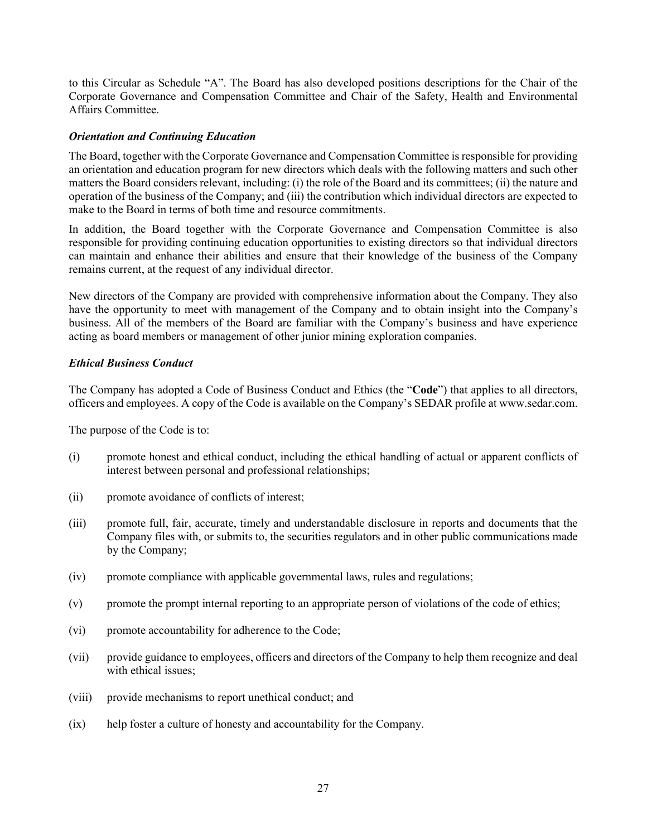to this Circular as Schedule "A". The Board has also developed positions descriptions for the Chair of the Corporate Governance and Compensation Committee and Chair of the Safety, Health and Environmental Affairs Committee.

## *Orientation and Continuing Education*

The Board, together with the Corporate Governance and Compensation Committee is responsible for providing an orientation and education program for new directors which deals with the following matters and such other matters the Board considers relevant, including: (i) the role of the Board and its committees; (ii) the nature and operation of the business of the Company; and (iii) the contribution which individual directors are expected to make to the Board in terms of both time and resource commitments.

In addition, the Board together with the Corporate Governance and Compensation Committee is also responsible for providing continuing education opportunities to existing directors so that individual directors can maintain and enhance their abilities and ensure that their knowledge of the business of the Company remains current, at the request of any individual director.

New directors of the Company are provided with comprehensive information about the Company. They also have the opportunity to meet with management of the Company and to obtain insight into the Company's business. All of the members of the Board are familiar with the Company's business and have experience acting as board members or management of other junior mining exploration companies.

# *Ethical Business Conduct*

The Company has adopted a Code of Business Conduct and Ethics (the "**Code**") that applies to all directors, officers and employees. A copy of the Code is available on the Company's SEDAR profile at www.sedar.com.

The purpose of the Code is to:

- (i) promote honest and ethical conduct, including the ethical handling of actual or apparent conflicts of interest between personal and professional relationships;
- (ii) promote avoidance of conflicts of interest;
- (iii) promote full, fair, accurate, timely and understandable disclosure in reports and documents that the Company files with, or submits to, the securities regulators and in other public communications made by the Company;
- (iv) promote compliance with applicable governmental laws, rules and regulations;
- (v) promote the prompt internal reporting to an appropriate person of violations of the code of ethics;
- (vi) promote accountability for adherence to the Code;
- (vii) provide guidance to employees, officers and directors of the Company to help them recognize and deal with ethical issues;
- (viii) provide mechanisms to report unethical conduct; and
- (ix) help foster a culture of honesty and accountability for the Company.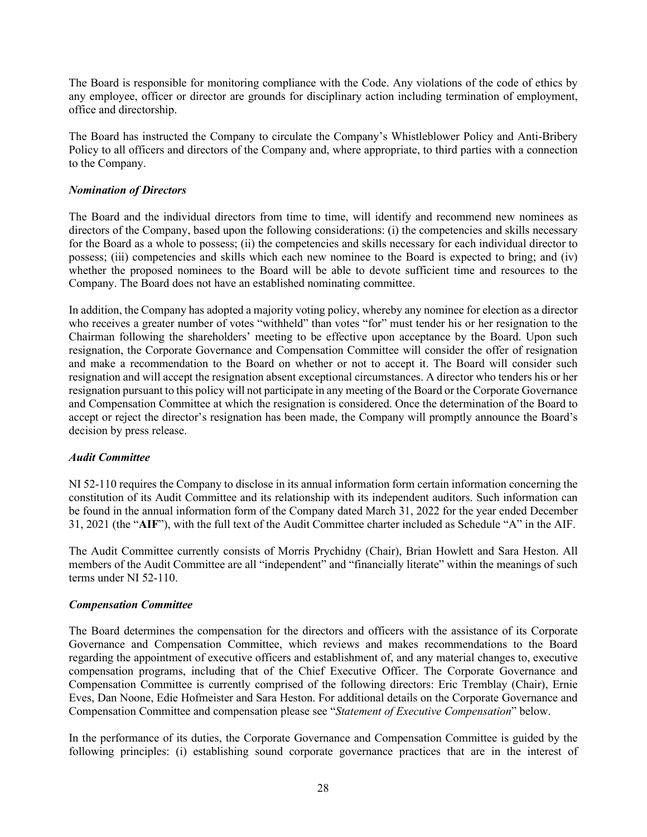The Board is responsible for monitoring compliance with the Code. Any violations of the code of ethics by any employee, officer or director are grounds for disciplinary action including termination of employment, office and directorship.

The Board has instructed the Company to circulate the Company's Whistleblower Policy and Anti-Bribery Policy to all officers and directors of the Company and, where appropriate, to third parties with a connection to the Company.

# *Nomination of Directors*

The Board and the individual directors from time to time, will identify and recommend new nominees as directors of the Company, based upon the following considerations: (i) the competencies and skills necessary for the Board as a whole to possess; (ii) the competencies and skills necessary for each individual director to possess; (iii) competencies and skills which each new nominee to the Board is expected to bring; and (iv) whether the proposed nominees to the Board will be able to devote sufficient time and resources to the Company. The Board does not have an established nominating committee.

In addition, the Company has adopted a majority voting policy, whereby any nominee for election as a director who receives a greater number of votes "withheld" than votes "for" must tender his or her resignation to the Chairman following the shareholders' meeting to be effective upon acceptance by the Board. Upon such resignation, the Corporate Governance and Compensation Committee will consider the offer of resignation and make a recommendation to the Board on whether or not to accept it. The Board will consider such resignation and will accept the resignation absent exceptional circumstances. A director who tenders his or her resignation pursuant to this policy will not participate in any meeting of the Board or the Corporate Governance and Compensation Committee at which the resignation is considered. Once the determination of the Board to accept or reject the director's resignation has been made, the Company will promptly announce the Board's decision by press release.

## *Audit Committee*

NI 52-110 requires the Company to disclose in its annual information form certain information concerning the constitution of its Audit Committee and its relationship with its independent auditors. Such information can be found in the annual information form of the Company dated March 31, 2022 for the year ended December 31, 2021 (the "**AIF**"), with the full text of the Audit Committee charter included as Schedule "A" in the AIF.

The Audit Committee currently consists of Morris Prychidny (Chair), Brian Howlett and Sara Heston. All members of the Audit Committee are all "independent" and "financially literate" within the meanings of such terms under NI 52-110.

# *Compensation Committee*

The Board determines the compensation for the directors and officers with the assistance of its Corporate Governance and Compensation Committee, which reviews and makes recommendations to the Board regarding the appointment of executive officers and establishment of, and any material changes to, executive compensation programs, including that of the Chief Executive Officer. The Corporate Governance and Compensation Committee is currently comprised of the following directors: Eric Tremblay (Chair), Ernie Eves, Dan Noone, Edie Hofmeister and Sara Heston. For additional details on the Corporate Governance and Compensation Committee and compensation please see "*Statement of Executive Compensation*" below.

In the performance of its duties, the Corporate Governance and Compensation Committee is guided by the following principles: (i) establishing sound corporate governance practices that are in the interest of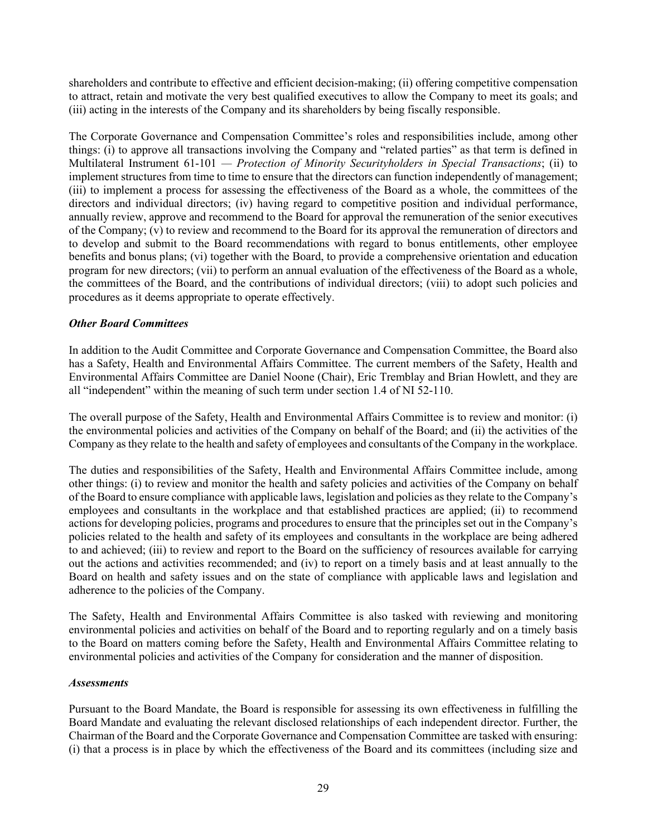shareholders and contribute to effective and efficient decision-making; (ii) offering competitive compensation to attract, retain and motivate the very best qualified executives to allow the Company to meet its goals; and (iii) acting in the interests of the Company and its shareholders by being fiscally responsible.

The Corporate Governance and Compensation Committee's roles and responsibilities include, among other things: (i) to approve all transactions involving the Company and "related parties" as that term is defined in Multilateral Instrument 61-101 *— Protection of Minority Securityholders in Special Transactions*; (ii) to implement structures from time to time to ensure that the directors can function independently of management; (iii) to implement a process for assessing the effectiveness of the Board as a whole, the committees of the directors and individual directors; (iv) having regard to competitive position and individual performance, annually review, approve and recommend to the Board for approval the remuneration of the senior executives of the Company; (v) to review and recommend to the Board for its approval the remuneration of directors and to develop and submit to the Board recommendations with regard to bonus entitlements, other employee benefits and bonus plans; (vi) together with the Board, to provide a comprehensive orientation and education program for new directors; (vii) to perform an annual evaluation of the effectiveness of the Board as a whole, the committees of the Board, and the contributions of individual directors; (viii) to adopt such policies and procedures as it deems appropriate to operate effectively.

## *Other Board Committees*

In addition to the Audit Committee and Corporate Governance and Compensation Committee, the Board also has a Safety, Health and Environmental Affairs Committee. The current members of the Safety, Health and Environmental Affairs Committee are Daniel Noone (Chair), Eric Tremblay and Brian Howlett, and they are all "independent" within the meaning of such term under section 1.4 of NI 52-110.

The overall purpose of the Safety, Health and Environmental Affairs Committee is to review and monitor: (i) the environmental policies and activities of the Company on behalf of the Board; and (ii) the activities of the Company as they relate to the health and safety of employees and consultants of the Company in the workplace.

The duties and responsibilities of the Safety, Health and Environmental Affairs Committee include, among other things: (i) to review and monitor the health and safety policies and activities of the Company on behalf of the Board to ensure compliance with applicable laws, legislation and policies as they relate to the Company's employees and consultants in the workplace and that established practices are applied; (ii) to recommend actions for developing policies, programs and procedures to ensure that the principles set out in the Company's policies related to the health and safety of its employees and consultants in the workplace are being adhered to and achieved; (iii) to review and report to the Board on the sufficiency of resources available for carrying out the actions and activities recommended; and (iv) to report on a timely basis and at least annually to the Board on health and safety issues and on the state of compliance with applicable laws and legislation and adherence to the policies of the Company.

The Safety, Health and Environmental Affairs Committee is also tasked with reviewing and monitoring environmental policies and activities on behalf of the Board and to reporting regularly and on a timely basis to the Board on matters coming before the Safety, Health and Environmental Affairs Committee relating to environmental policies and activities of the Company for consideration and the manner of disposition.

## *Assessments*

Pursuant to the Board Mandate, the Board is responsible for assessing its own effectiveness in fulfilling the Board Mandate and evaluating the relevant disclosed relationships of each independent director. Further, the Chairman of the Board and the Corporate Governance and Compensation Committee are tasked with ensuring: (i) that a process is in place by which the effectiveness of the Board and its committees (including size and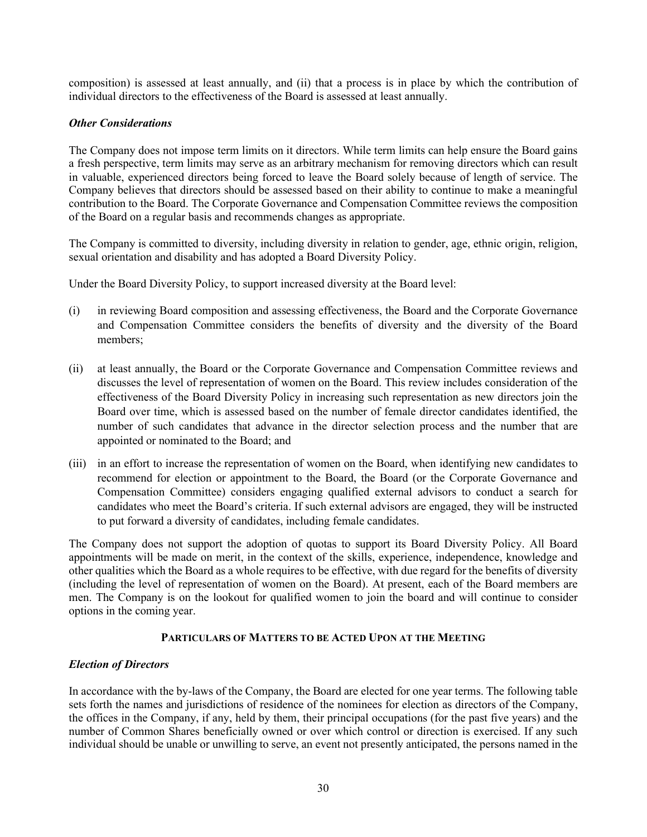composition) is assessed at least annually, and (ii) that a process is in place by which the contribution of individual directors to the effectiveness of the Board is assessed at least annually.

# *Other Considerations*

The Company does not impose term limits on it directors. While term limits can help ensure the Board gains a fresh perspective, term limits may serve as an arbitrary mechanism for removing directors which can result in valuable, experienced directors being forced to leave the Board solely because of length of service. The Company believes that directors should be assessed based on their ability to continue to make a meaningful contribution to the Board. The Corporate Governance and Compensation Committee reviews the composition of the Board on a regular basis and recommends changes as appropriate.

The Company is committed to diversity, including diversity in relation to gender, age, ethnic origin, religion, sexual orientation and disability and has adopted a Board Diversity Policy.

Under the Board Diversity Policy, to support increased diversity at the Board level:

- (i) in reviewing Board composition and assessing effectiveness, the Board and the Corporate Governance and Compensation Committee considers the benefits of diversity and the diversity of the Board members;
- (ii) at least annually, the Board or the Corporate Governance and Compensation Committee reviews and discusses the level of representation of women on the Board. This review includes consideration of the effectiveness of the Board Diversity Policy in increasing such representation as new directors join the Board over time, which is assessed based on the number of female director candidates identified, the number of such candidates that advance in the director selection process and the number that are appointed or nominated to the Board; and
- (iii) in an effort to increase the representation of women on the Board, when identifying new candidates to recommend for election or appointment to the Board, the Board (or the Corporate Governance and Compensation Committee) considers engaging qualified external advisors to conduct a search for candidates who meet the Board's criteria. If such external advisors are engaged, they will be instructed to put forward a diversity of candidates, including female candidates.

The Company does not support the adoption of quotas to support its Board Diversity Policy. All Board appointments will be made on merit, in the context of the skills, experience, independence, knowledge and other qualities which the Board as a whole requires to be effective, with due regard for the benefits of diversity (including the level of representation of women on the Board). At present, each of the Board members are men. The Company is on the lookout for qualified women to join the board and will continue to consider options in the coming year.

## **PARTICULARS OF MATTERS TO BE ACTED UPON AT THE MEETING**

# *Election of Directors*

In accordance with the by-laws of the Company, the Board are elected for one year terms. The following table sets forth the names and jurisdictions of residence of the nominees for election as directors of the Company, the offices in the Company, if any, held by them, their principal occupations (for the past five years) and the number of Common Shares beneficially owned or over which control or direction is exercised. If any such individual should be unable or unwilling to serve, an event not presently anticipated, the persons named in the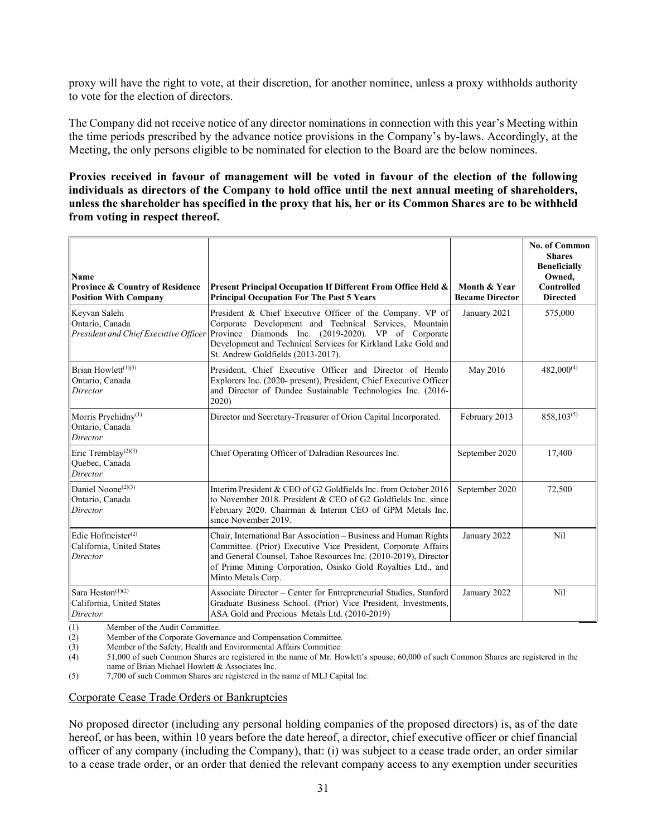proxy will have the right to vote, at their discretion, for another nominee, unless a proxy withholds authority to vote for the election of directors.

The Company did not receive notice of any director nominations in connection with this year's Meeting within the time periods prescribed by the advance notice provisions in the Company's by-laws. Accordingly, at the Meeting, the only persons eligible to be nominated for election to the Board are the below nominees.

**Proxies received in favour of management will be voted in favour of the election of the following individuals as directors of the Company to hold office until the next annual meeting of shareholders, unless the shareholder has specified in the proxy that his, her or its Common Shares are to be withheld from voting in respect thereof.**

| Name<br><b>Province &amp; Country of Residence</b><br><b>Position With Company</b> | Present Principal Occupation If Different From Office Held &<br><b>Principal Occupation For The Past 5 Years</b>                                                                                                                                                                                                        | Month & Year<br><b>Became Director</b> | <b>No. of Common</b><br><b>Shares</b><br><b>Beneficially</b><br>Owned,<br><b>Controlled</b><br><b>Directed</b> |
|------------------------------------------------------------------------------------|-------------------------------------------------------------------------------------------------------------------------------------------------------------------------------------------------------------------------------------------------------------------------------------------------------------------------|----------------------------------------|----------------------------------------------------------------------------------------------------------------|
| Keyvan Salehi<br>Ontario, Canada                                                   | President & Chief Executive Officer of the Company. VP of<br>Corporate Development and Technical Services, Mountain<br>President and Chief Executive Officer Province Diamonds Inc. (2019-2020). VP of Corporate<br>Development and Technical Services for Kirkland Lake Gold and<br>St. Andrew Goldfields (2013-2017). | January 2021                           | 575,000                                                                                                        |
| Brian Howlett $(1)(3)$<br>Ontario, Canada<br>Director                              | President, Chief Executive Officer and Director of Hemlo<br>Explorers Inc. (2020- present), President, Chief Executive Officer<br>and Director of Dundee Sustainable Technologies Inc. (2016-<br>2020)                                                                                                                  | May 2016                               | $482,000^{(4)}$                                                                                                |
| Morris Prychidny <sup>(1)</sup><br>Ontario, Canada<br>Director                     | Director and Secretary-Treasurer of Orion Capital Incorporated.                                                                                                                                                                                                                                                         | February 2013                          | $858,103^{(5)}$                                                                                                |
| Eric Tremblay <sup>(2)(3)</sup><br>Quebec, Canada<br>Director                      | Chief Operating Officer of Dalradian Resources Inc.                                                                                                                                                                                                                                                                     | September 2020                         | 17,400                                                                                                         |
| Daniel Noone <sup>(2)(3)</sup><br>Ontario, Canada<br>Director                      | Interim President & CEO of G2 Goldfields Inc. from October 2016<br>to November 2018. President & CEO of G2 Goldfields Inc. since<br>February 2020. Chairman & Interim CEO of GPM Metals Inc.<br>since November 2019.                                                                                                    | September 2020                         | 72,500                                                                                                         |
| Edie Hofmeister $(2)$<br>California, United States<br>Director                     | Chair, International Bar Association - Business and Human Rights<br>Committee. (Prior) Executive Vice President, Corporate Affairs<br>and General Counsel, Tahoe Resources Inc. (2010-2019), Director<br>of Prime Mining Corporation, Osisko Gold Royalties Ltd., and<br>Minto Metals Corp.                             | January 2022                           | Nil                                                                                                            |
| Sara Heston <sup>(1)(2)</sup><br>California, United States<br>Director             | Associate Director – Center for Entrepreneurial Studies, Stanford<br>Graduate Business School. (Prior) Vice President, Investments,<br>ASA Gold and Precious Metals Ltd. (2010-2019)                                                                                                                                    | January 2022                           | Nil                                                                                                            |

(1) Member of the Audit Committee.

(2) Member of the Corporate Governance and Compensation Committee.<br>
(3) Member of the Safety, Health and Environmental Affairs Committee.

Member of the Safety, Health and Environmental Affairs Committee.

(4) 51,000 of such Common Shares are registered in the name of Mr. Howlett's spouse; 60,000 of such Common Shares are registered in the name of Brian Michael Howlett & Associates Inc.

(5) 7,700 of such Common Shares are registered in the name of MLJ Capital Inc.

#### Corporate Cease Trade Orders or Bankruptcies

No proposed director (including any personal holding companies of the proposed directors) is, as of the date hereof, or has been, within 10 years before the date hereof, a director, chief executive officer or chief financial officer of any company (including the Company), that: (i) was subject to a cease trade order, an order similar to a cease trade order, or an order that denied the relevant company access to any exemption under securities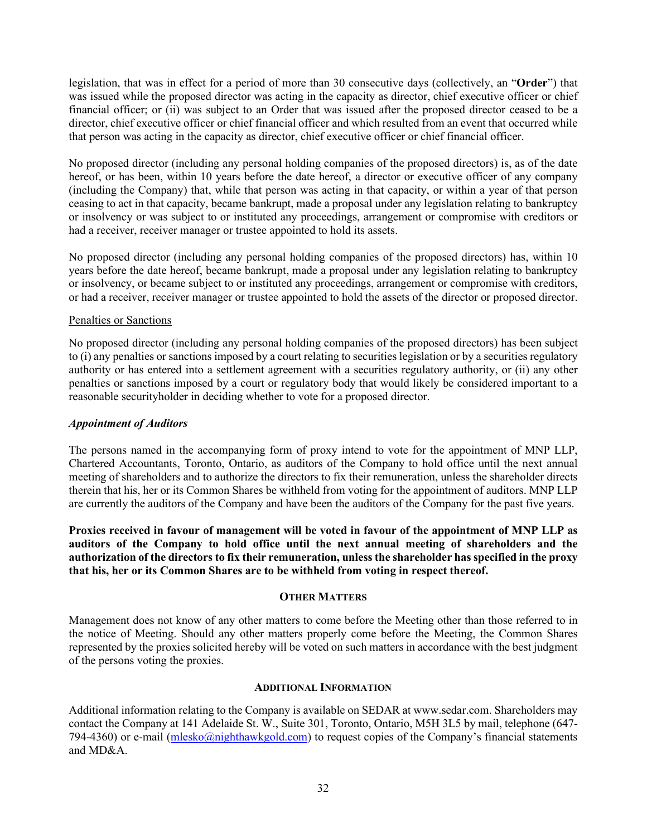legislation, that was in effect for a period of more than 30 consecutive days (collectively, an "**Order**") that was issued while the proposed director was acting in the capacity as director, chief executive officer or chief financial officer; or (ii) was subject to an Order that was issued after the proposed director ceased to be a director, chief executive officer or chief financial officer and which resulted from an event that occurred while that person was acting in the capacity as director, chief executive officer or chief financial officer.

No proposed director (including any personal holding companies of the proposed directors) is, as of the date hereof, or has been, within 10 years before the date hereof, a director or executive officer of any company (including the Company) that, while that person was acting in that capacity, or within a year of that person ceasing to act in that capacity, became bankrupt, made a proposal under any legislation relating to bankruptcy or insolvency or was subject to or instituted any proceedings, arrangement or compromise with creditors or had a receiver, receiver manager or trustee appointed to hold its assets.

No proposed director (including any personal holding companies of the proposed directors) has, within 10 years before the date hereof, became bankrupt, made a proposal under any legislation relating to bankruptcy or insolvency, or became subject to or instituted any proceedings, arrangement or compromise with creditors, or had a receiver, receiver manager or trustee appointed to hold the assets of the director or proposed director.

#### Penalties or Sanctions

No proposed director (including any personal holding companies of the proposed directors) has been subject to (i) any penalties or sanctions imposed by a court relating to securities legislation or by a securities regulatory authority or has entered into a settlement agreement with a securities regulatory authority, or (ii) any other penalties or sanctions imposed by a court or regulatory body that would likely be considered important to a reasonable securityholder in deciding whether to vote for a proposed director.

#### *Appointment of Auditors*

The persons named in the accompanying form of proxy intend to vote for the appointment of MNP LLP, Chartered Accountants, Toronto, Ontario, as auditors of the Company to hold office until the next annual meeting of shareholders and to authorize the directors to fix their remuneration, unless the shareholder directs therein that his, her or its Common Shares be withheld from voting for the appointment of auditors. MNP LLP are currently the auditors of the Company and have been the auditors of the Company for the past five years.

**Proxies received in favour of management will be voted in favour of the appointment of MNP LLP as auditors of the Company to hold office until the next annual meeting of shareholders and the authorization of the directors to fix their remuneration, unless the shareholder has specified in the proxy that his, her or its Common Shares are to be withheld from voting in respect thereof.**

#### **OTHER MATTERS**

Management does not know of any other matters to come before the Meeting other than those referred to in the notice of Meeting. Should any other matters properly come before the Meeting, the Common Shares represented by the proxies solicited hereby will be voted on such matters in accordance with the best judgment of the persons voting the proxies.

#### **ADDITIONAL INFORMATION**

Additional information relating to the Company is available on SEDAR at www.sedar.com. Shareholders may contact the Company at 141 Adelaide St. W., Suite 301, Toronto, Ontario, M5H 3L5 by mail, telephone (647- 794-4360) or e-mail [\(mlesko@nighthawkgold.com\)](mailto:mlesko@nighthawkgold.com) to request copies of the Company's financial statements and MD&A.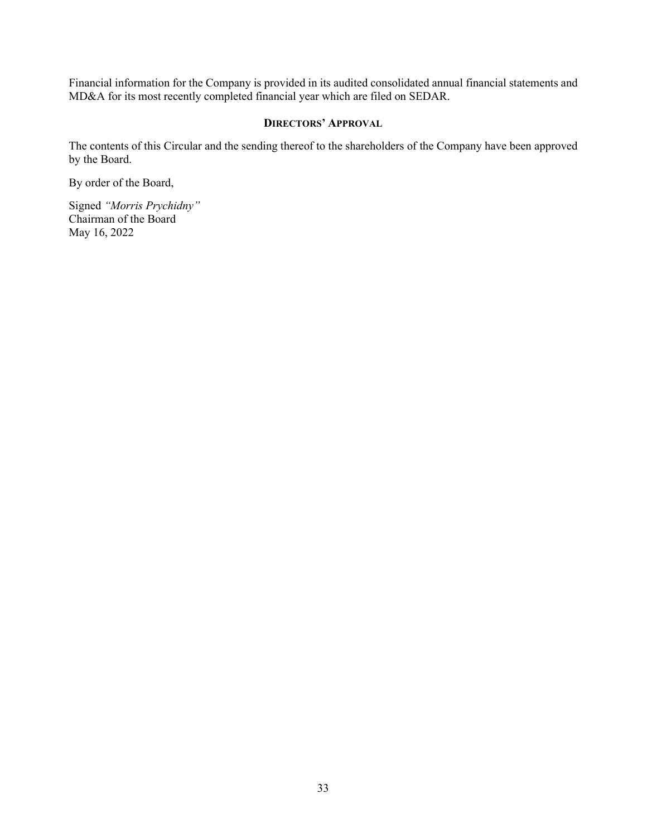Financial information for the Company is provided in its audited consolidated annual financial statements and MD&A for its most recently completed financial year which are filed on SEDAR.

#### **DIRECTORS' APPROVAL**

The contents of this Circular and the sending thereof to the shareholders of the Company have been approved by the Board.

By order of the Board,

Signed *"Morris Prychidny"*  Chairman of the Board May 16, 2022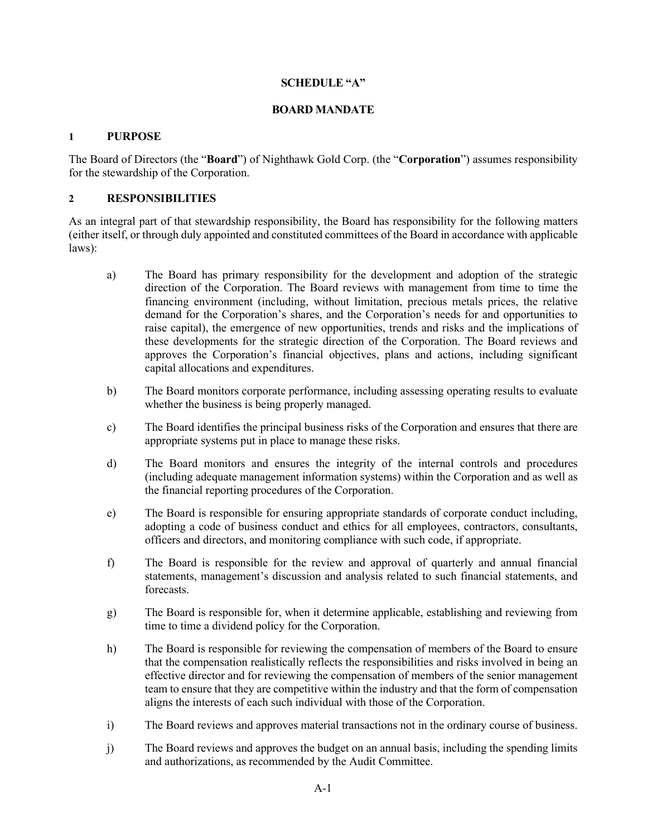## **SCHEDULE "A"**

## **BOARD MANDATE**

## **1 PURPOSE**

The Board of Directors (the "**Board**") of Nighthawk Gold Corp. (the "**Corporation**") assumes responsibility for the stewardship of the Corporation.

# **2 RESPONSIBILITIES**

As an integral part of that stewardship responsibility, the Board has responsibility for the following matters (either itself, or through duly appointed and constituted committees of the Board in accordance with applicable laws):

- a) The Board has primary responsibility for the development and adoption of the strategic direction of the Corporation. The Board reviews with management from time to time the financing environment (including, without limitation, precious metals prices, the relative demand for the Corporation's shares, and the Corporation's needs for and opportunities to raise capital), the emergence of new opportunities, trends and risks and the implications of these developments for the strategic direction of the Corporation. The Board reviews and approves the Corporation's financial objectives, plans and actions, including significant capital allocations and expenditures.
- b) The Board monitors corporate performance, including assessing operating results to evaluate whether the business is being properly managed.
- c) The Board identifies the principal business risks of the Corporation and ensures that there are appropriate systems put in place to manage these risks.
- d) The Board monitors and ensures the integrity of the internal controls and procedures (including adequate management information systems) within the Corporation and as well as the financial reporting procedures of the Corporation.
- e) The Board is responsible for ensuring appropriate standards of corporate conduct including, adopting a code of business conduct and ethics for all employees, contractors, consultants, officers and directors, and monitoring compliance with such code, if appropriate.
- f) The Board is responsible for the review and approval of quarterly and annual financial statements, management's discussion and analysis related to such financial statements, and forecasts.
- g) The Board is responsible for, when it determine applicable, establishing and reviewing from time to time a dividend policy for the Corporation.
- h) The Board is responsible for reviewing the compensation of members of the Board to ensure that the compensation realistically reflects the responsibilities and risks involved in being an effective director and for reviewing the compensation of members of the senior management team to ensure that they are competitive within the industry and that the form of compensation aligns the interests of each such individual with those of the Corporation.
- i) The Board reviews and approves material transactions not in the ordinary course of business.
- j) The Board reviews and approves the budget on an annual basis, including the spending limits and authorizations, as recommended by the Audit Committee.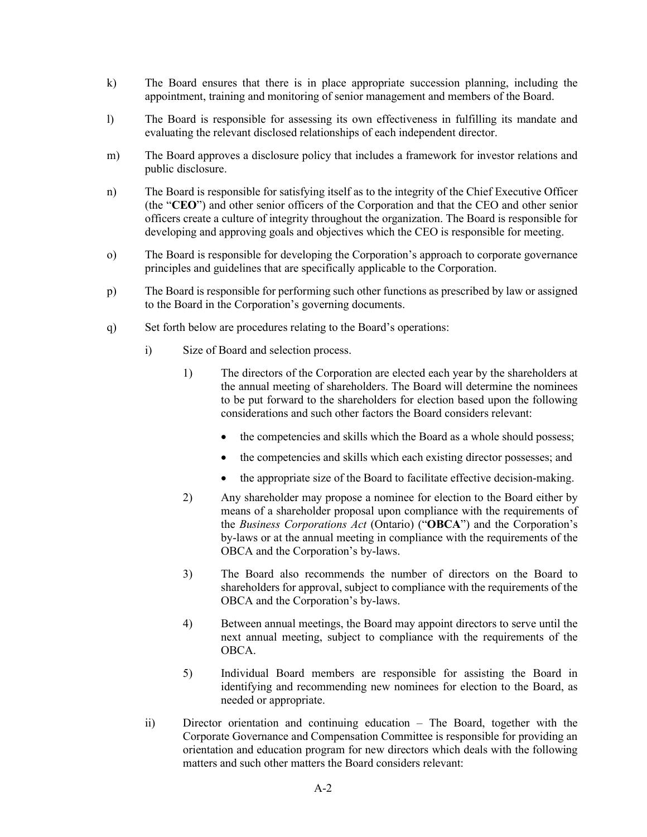- k) The Board ensures that there is in place appropriate succession planning, including the appointment, training and monitoring of senior management and members of the Board.
- l) The Board is responsible for assessing its own effectiveness in fulfilling its mandate and evaluating the relevant disclosed relationships of each independent director.
- m) The Board approves a disclosure policy that includes a framework for investor relations and public disclosure.
- n) The Board is responsible for satisfying itself as to the integrity of the Chief Executive Officer (the "**CEO**") and other senior officers of the Corporation and that the CEO and other senior officers create a culture of integrity throughout the organization. The Board is responsible for developing and approving goals and objectives which the CEO is responsible for meeting.
- o) The Board is responsible for developing the Corporation's approach to corporate governance principles and guidelines that are specifically applicable to the Corporation.
- p) The Board is responsible for performing such other functions as prescribed by law or assigned to the Board in the Corporation's governing documents.
- q) Set forth below are procedures relating to the Board's operations:
	- i) Size of Board and selection process.
		- 1) The directors of the Corporation are elected each year by the shareholders at the annual meeting of shareholders. The Board will determine the nominees to be put forward to the shareholders for election based upon the following considerations and such other factors the Board considers relevant:
			- the competencies and skills which the Board as a whole should possess;
			- the competencies and skills which each existing director possesses; and
			- the appropriate size of the Board to facilitate effective decision-making.
		- 2) Any shareholder may propose a nominee for election to the Board either by means of a shareholder proposal upon compliance with the requirements of the *Business Corporations Act* (Ontario) ("**OBCA**") and the Corporation's by-laws or at the annual meeting in compliance with the requirements of the OBCA and the Corporation's by-laws.
		- 3) The Board also recommends the number of directors on the Board to shareholders for approval, subject to compliance with the requirements of the OBCA and the Corporation's by-laws.
		- 4) Between annual meetings, the Board may appoint directors to serve until the next annual meeting, subject to compliance with the requirements of the OBCA.
		- 5) Individual Board members are responsible for assisting the Board in identifying and recommending new nominees for election to the Board, as needed or appropriate.
	- ii) Director orientation and continuing education The Board, together with the Corporate Governance and Compensation Committee is responsible for providing an orientation and education program for new directors which deals with the following matters and such other matters the Board considers relevant: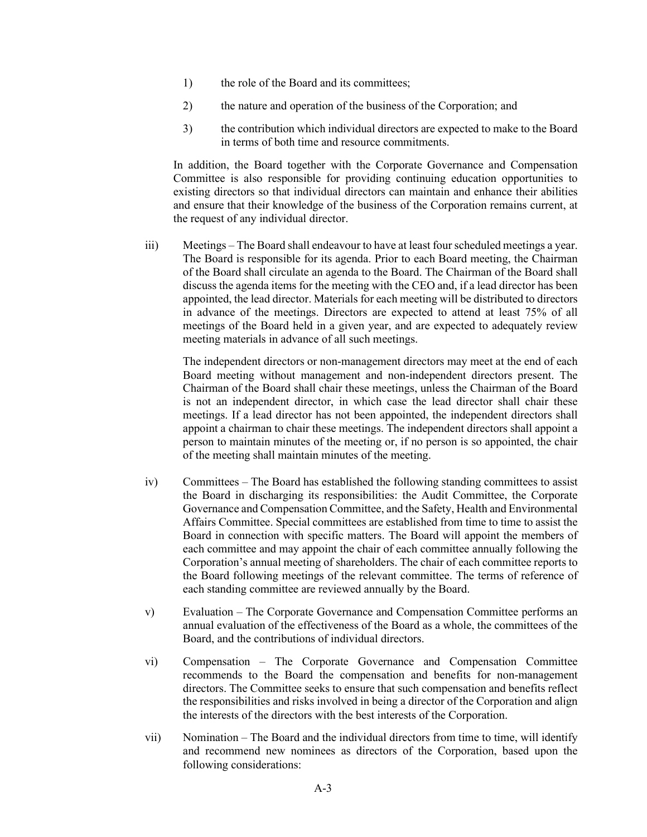- 1) the role of the Board and its committees;
- 2) the nature and operation of the business of the Corporation; and
- 3) the contribution which individual directors are expected to make to the Board in terms of both time and resource commitments.

In addition, the Board together with the Corporate Governance and Compensation Committee is also responsible for providing continuing education opportunities to existing directors so that individual directors can maintain and enhance their abilities and ensure that their knowledge of the business of the Corporation remains current, at the request of any individual director.

iii) Meetings – The Board shall endeavour to have at least four scheduled meetings a year. The Board is responsible for its agenda. Prior to each Board meeting, the Chairman of the Board shall circulate an agenda to the Board. The Chairman of the Board shall discuss the agenda items for the meeting with the CEO and, if a lead director has been appointed, the lead director. Materials for each meeting will be distributed to directors in advance of the meetings. Directors are expected to attend at least 75% of all meetings of the Board held in a given year, and are expected to adequately review meeting materials in advance of all such meetings.

The independent directors or non-management directors may meet at the end of each Board meeting without management and non-independent directors present. The Chairman of the Board shall chair these meetings, unless the Chairman of the Board is not an independent director, in which case the lead director shall chair these meetings. If a lead director has not been appointed, the independent directors shall appoint a chairman to chair these meetings. The independent directors shall appoint a person to maintain minutes of the meeting or, if no person is so appointed, the chair of the meeting shall maintain minutes of the meeting.

- iv) Committees The Board has established the following standing committees to assist the Board in discharging its responsibilities: the Audit Committee, the Corporate Governance and Compensation Committee, and the Safety, Health and Environmental Affairs Committee. Special committees are established from time to time to assist the Board in connection with specific matters. The Board will appoint the members of each committee and may appoint the chair of each committee annually following the Corporation's annual meeting of shareholders. The chair of each committee reports to the Board following meetings of the relevant committee. The terms of reference of each standing committee are reviewed annually by the Board.
- v) Evaluation The Corporate Governance and Compensation Committee performs an annual evaluation of the effectiveness of the Board as a whole, the committees of the Board, and the contributions of individual directors.
- vi) Compensation The Corporate Governance and Compensation Committee recommends to the Board the compensation and benefits for non-management directors. The Committee seeks to ensure that such compensation and benefits reflect the responsibilities and risks involved in being a director of the Corporation and align the interests of the directors with the best interests of the Corporation.
- vii) Nomination The Board and the individual directors from time to time, will identify and recommend new nominees as directors of the Corporation, based upon the following considerations: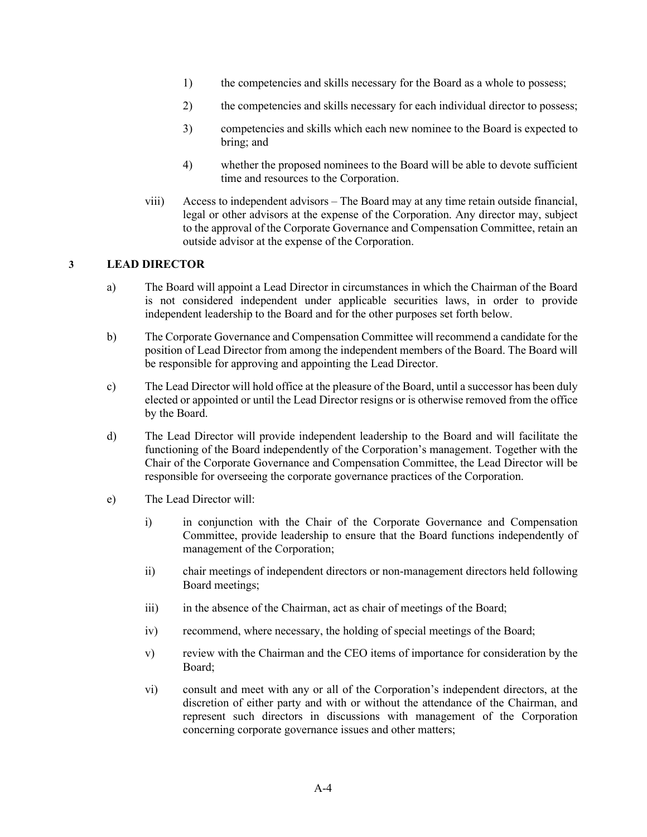- 1) the competencies and skills necessary for the Board as a whole to possess;
- 2) the competencies and skills necessary for each individual director to possess;
- 3) competencies and skills which each new nominee to the Board is expected to bring; and
- 4) whether the proposed nominees to the Board will be able to devote sufficient time and resources to the Corporation.
- viii) Access to independent advisors The Board may at any time retain outside financial, legal or other advisors at the expense of the Corporation. Any director may, subject to the approval of the Corporate Governance and Compensation Committee, retain an outside advisor at the expense of the Corporation.

# **3 LEAD DIRECTOR**

- a) The Board will appoint a Lead Director in circumstances in which the Chairman of the Board is not considered independent under applicable securities laws, in order to provide independent leadership to the Board and for the other purposes set forth below.
- b) The Corporate Governance and Compensation Committee will recommend a candidate for the position of Lead Director from among the independent members of the Board. The Board will be responsible for approving and appointing the Lead Director.
- c) The Lead Director will hold office at the pleasure of the Board, until a successor has been duly elected or appointed or until the Lead Director resigns or is otherwise removed from the office by the Board.
- d) The Lead Director will provide independent leadership to the Board and will facilitate the functioning of the Board independently of the Corporation's management. Together with the Chair of the Corporate Governance and Compensation Committee, the Lead Director will be responsible for overseeing the corporate governance practices of the Corporation.
- e) The Lead Director will:
	- i) in conjunction with the Chair of the Corporate Governance and Compensation Committee, provide leadership to ensure that the Board functions independently of management of the Corporation;
	- ii) chair meetings of independent directors or non-management directors held following Board meetings;
	- iii) in the absence of the Chairman, act as chair of meetings of the Board;
	- iv) recommend, where necessary, the holding of special meetings of the Board;
	- v) review with the Chairman and the CEO items of importance for consideration by the Board;
	- vi) consult and meet with any or all of the Corporation's independent directors, at the discretion of either party and with or without the attendance of the Chairman, and represent such directors in discussions with management of the Corporation concerning corporate governance issues and other matters;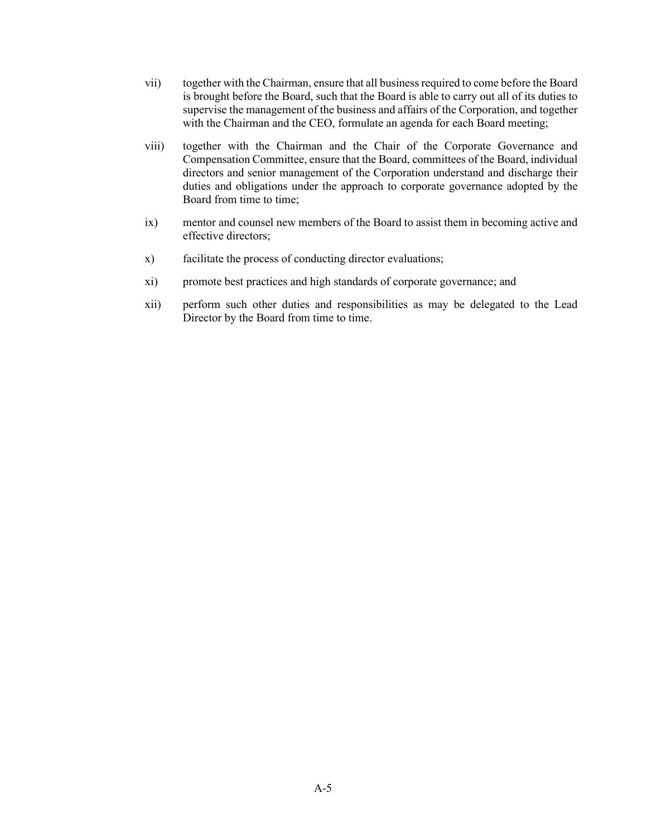- vii) together with the Chairman, ensure that all business required to come before the Board is brought before the Board, such that the Board is able to carry out all of its duties to supervise the management of the business and affairs of the Corporation, and together with the Chairman and the CEO, formulate an agenda for each Board meeting;
- viii) together with the Chairman and the Chair of the Corporate Governance and Compensation Committee, ensure that the Board, committees of the Board, individual directors and senior management of the Corporation understand and discharge their duties and obligations under the approach to corporate governance adopted by the Board from time to time;
- ix) mentor and counsel new members of the Board to assist them in becoming active and effective directors;
- x) facilitate the process of conducting director evaluations;
- xi) promote best practices and high standards of corporate governance; and
- xii) perform such other duties and responsibilities as may be delegated to the Lead Director by the Board from time to time.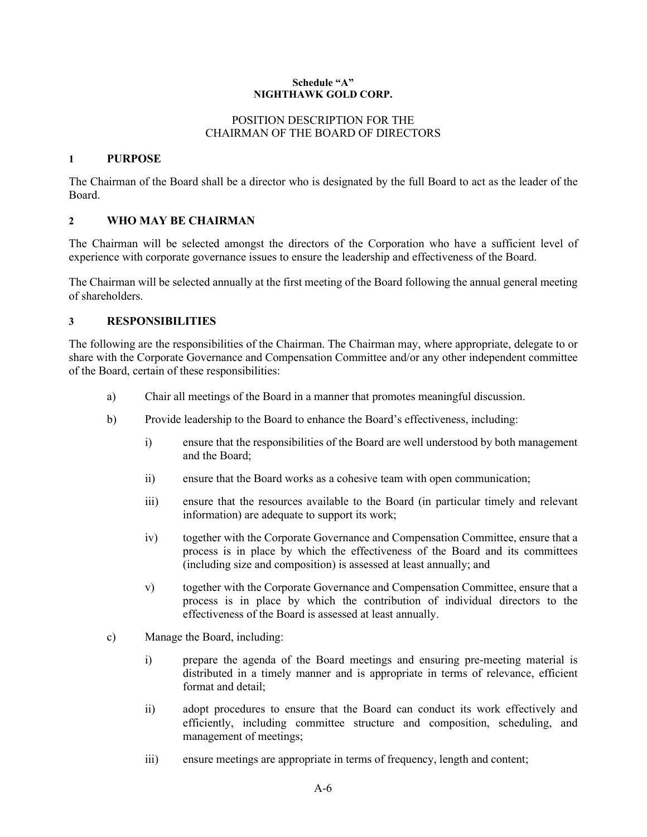#### **Schedule "A" NIGHTHAWK GOLD CORP.**

## POSITION DESCRIPTION FOR THE CHAIRMAN OF THE BOARD OF DIRECTORS

#### **1 PURPOSE**

The Chairman of the Board shall be a director who is designated by the full Board to act as the leader of the Board.

## **2 WHO MAY BE CHAIRMAN**

The Chairman will be selected amongst the directors of the Corporation who have a sufficient level of experience with corporate governance issues to ensure the leadership and effectiveness of the Board.

The Chairman will be selected annually at the first meeting of the Board following the annual general meeting of shareholders.

## **3 RESPONSIBILITIES**

The following are the responsibilities of the Chairman. The Chairman may, where appropriate, delegate to or share with the Corporate Governance and Compensation Committee and/or any other independent committee of the Board, certain of these responsibilities:

- a) Chair all meetings of the Board in a manner that promotes meaningful discussion.
- b) Provide leadership to the Board to enhance the Board's effectiveness, including:
	- i) ensure that the responsibilities of the Board are well understood by both management and the Board;
	- ii) ensure that the Board works as a cohesive team with open communication;
	- iii) ensure that the resources available to the Board (in particular timely and relevant information) are adequate to support its work;
	- iv) together with the Corporate Governance and Compensation Committee, ensure that a process is in place by which the effectiveness of the Board and its committees (including size and composition) is assessed at least annually; and
	- v) together with the Corporate Governance and Compensation Committee, ensure that a process is in place by which the contribution of individual directors to the effectiveness of the Board is assessed at least annually.
- c) Manage the Board, including:
	- i) prepare the agenda of the Board meetings and ensuring pre-meeting material is distributed in a timely manner and is appropriate in terms of relevance, efficient format and detail;
	- ii) adopt procedures to ensure that the Board can conduct its work effectively and efficiently, including committee structure and composition, scheduling, and management of meetings;
	- iii) ensure meetings are appropriate in terms of frequency, length and content;